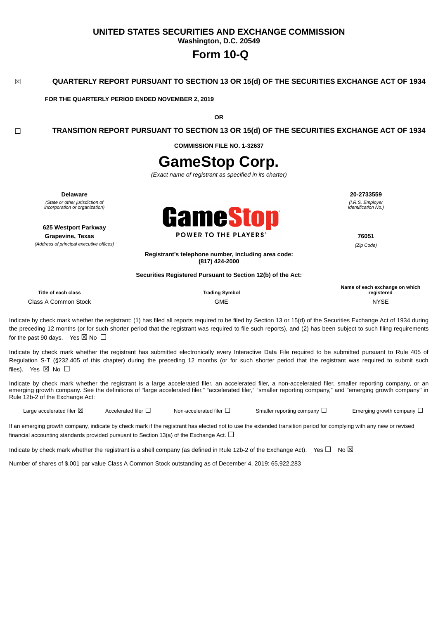## **UNITED STATES SECURITIES AND EXCHANGE COMMISSION**

**Washington, D.C. 20549**

## **Form 10-Q**

## ☒ **QUARTERLY REPORT PURSUANT TO SECTION 13 OR 15(d) OF THE SECURITIES EXCHANGE ACT OF 1934**

**FOR THE QUARTERLY PERIOD ENDED NOVEMBER 2, 2019**

**OR**

## ☐ **TRANSITION REPORT PURSUANT TO SECTION 13 OR 15(d) OF THE SECURITIES EXCHANGE ACT OF 1934**

**COMMISSION FILE NO. 1-32637**

# **GameStop Corp.**

*(Exact name of registrant as specified in its charter)*

*(State or other jurisdiction of incorporation or organization)*



*(Address of principal executive offices) (Zip Code)*



Grapevine, Texas **TEXAS EXASPENS POWER TO THE PLAYERS**<sup>\*</sup> **POWER 10 76051** 

**Delaware 20-2733559** *(I.R.S. Employer Identification No.)*

**Registrant's telephone number, including area code: (817) 424-2000**

#### **Securities Registered Pursuant to Section 12(b) of the Act:**

| Title.<br><br><b>Clace</b><br>ыаээ | Symbol<br>Fradine<br>'ا الله ا       | evchange<br>≧on which ≀<br>registered |
|------------------------------------|--------------------------------------|---------------------------------------|
| Close is<br>ے ا<br>ww              | <b>NAP</b><br>ے NIL<br>$\sim$ $\sim$ | NY <sup>o</sup><br>_____              |

Indicate by check mark whether the registrant: (1) has filed all reports required to be filed by Section 13 or 15(d) of the Securities Exchange Act of 1934 during the preceding 12 months (or for such shorter period that the registrant was required to file such reports), and (2) has been subject to such filing requirements for the past 90 days. Yes  $\boxtimes$  No  $\Box$ 

Indicate by check mark whether the registrant has submitted electronically every Interactive Data File required to be submitted pursuant to Rule 405 of Regulation S-T (§232.405 of this chapter) during the preceding 12 months (or for such shorter period that the registrant was required to submit such files). Yes  $\boxtimes$  No  $\square$ 

Indicate by check mark whether the registrant is a large accelerated filer, an accelerated filer, a non-accelerated filer, smaller reporting company, or an emerging growth company. See the definitions of "large accelerated filer," "accelerated filer," "smaller reporting company," and "emerging growth company" in Rule 12b-2 of the Exchange Act:

Large accelerated filer ⊠ Accelerated filer □ Non-accelerated filer □ Smaller reporting company □ Emerging growth company □

If an emerging growth company, indicate by check mark if the registrant has elected not to use the extended transition period for complying with any new or revised financial accounting standards provided pursuant to Section 13(a) of the Exchange Act.  $\Box$ 

Indicate by check mark whether the registrant is a shell company (as defined in Rule 12b-2 of the Exchange Act). Yes  $\square$  No  $\boxtimes$ 

Number of shares of \$.001 par value Class A Common Stock outstanding as of December 4, 2019: 65,922,283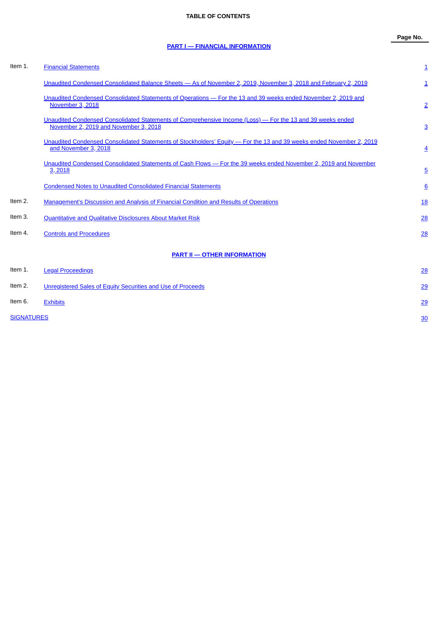#### **TABLE OF CONTENTS**

## **[PART I — FINANCIAL INFORMATION](#page-2-0)**

<span id="page-1-0"></span>

| Item 1. | <b>Financial Statements</b>                                                                                                                         | $\overline{1}$          |
|---------|-----------------------------------------------------------------------------------------------------------------------------------------------------|-------------------------|
|         | Unaudited Condensed Consolidated Balance Sheets - As of November 2, 2019, November 3, 2018 and February 2, 2019                                     | $\overline{\mathbf{1}}$ |
|         | Unaudited Condensed Consolidated Statements of Operations - For the 13 and 39 weeks ended November 2, 2019 and<br>November 3, 2018                  | $\overline{2}$          |
|         | Unaudited Condensed Consolidated Statements of Comprehensive Income (Loss) — For the 13 and 39 weeks ended<br>November 2, 2019 and November 3, 2018 | $\overline{3}$          |
|         | Unaudited Condensed Consolidated Statements of Stockholders' Equity - For the 13 and 39 weeks ended November 2, 2019<br>and November 3, 2018        | $\overline{4}$          |
|         | Unaudited Condensed Consolidated Statements of Cash Flows - For the 39 weeks ended November 2, 2019 and November<br>3, 2018                         | $\overline{5}$          |
|         | <b>Condensed Notes to Unaudited Consolidated Financial Statements</b>                                                                               | 6                       |
| Item 2. | Management's Discussion and Analysis of Financial Condition and Results of Operations                                                               | <u>18</u>               |
| Item 3. | <b>Ouantitative and Oualitative Disclosures About Market Risk</b>                                                                                   | 28                      |
| Item 4. | <b>Controls and Procedures</b>                                                                                                                      | 28                      |
|         | <b>PART II - OTHER INFORMATION</b>                                                                                                                  |                         |
| Item 1. | <b>Legal Proceedings</b>                                                                                                                            | 28                      |
| Item 2. | Unregistered Sales of Equity Securities and Use of Proceeds                                                                                         | 29                      |
| Item 6. | <b>Exhibits</b>                                                                                                                                     | 29                      |

[SIGNATURES](#page-31-0) [30](#page-31-0)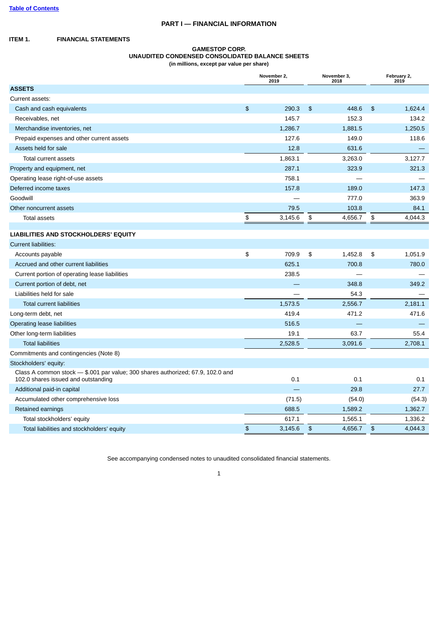## **PART I — FINANCIAL INFORMATION**

<span id="page-2-2"></span><span id="page-2-1"></span><span id="page-2-0"></span>**ITEM 1. FINANCIAL STATEMENTS**

#### **GAMESTOP CORP. UNAUDITED CONDENSED CONSOLIDATED BALANCE SHEETS (in millions, except par value per share)**

|                                                                                                                        | November 2,<br>2019 |         |               | November 3,<br>2018 |               | February 2,<br>2019 |
|------------------------------------------------------------------------------------------------------------------------|---------------------|---------|---------------|---------------------|---------------|---------------------|
| <b>ASSETS</b>                                                                                                          |                     |         |               |                     |               |                     |
| Current assets:                                                                                                        |                     |         |               |                     |               |                     |
| Cash and cash equivalents                                                                                              | $\frac{1}{2}$       | 290.3   | $\frac{4}{5}$ | 448.6               | \$            | 1,624.4             |
| Receivables, net                                                                                                       |                     | 145.7   |               | 152.3               |               | 134.2               |
| Merchandise inventories, net                                                                                           |                     | 1,286.7 |               | 1,881.5             |               | 1,250.5             |
| Prepaid expenses and other current assets                                                                              |                     | 127.6   |               | 149.0               |               | 118.6               |
| Assets held for sale                                                                                                   |                     | 12.8    |               | 631.6               |               |                     |
| Total current assets                                                                                                   |                     | 1,863.1 |               | 3,263.0             |               | 3,127.7             |
| Property and equipment, net                                                                                            |                     | 287.1   |               | 323.9               |               | 321.3               |
| Operating lease right-of-use assets                                                                                    |                     | 758.1   |               |                     |               |                     |
| Deferred income taxes                                                                                                  |                     | 157.8   |               | 189.0               |               | 147.3               |
| Goodwill                                                                                                               |                     |         |               | 777.0               |               | 363.9               |
| Other noncurrent assets                                                                                                |                     | 79.5    |               | 103.8               |               | 84.1                |
| <b>Total assets</b>                                                                                                    | \$                  | 3,145.6 | \$            | 4,656.7             | \$            | 4,044.3             |
|                                                                                                                        |                     |         |               |                     |               |                     |
| <b>LIABILITIES AND STOCKHOLDERS' EQUITY</b>                                                                            |                     |         |               |                     |               |                     |
| <b>Current liabilities:</b>                                                                                            |                     |         |               |                     |               |                     |
| Accounts payable                                                                                                       | \$                  | 709.9   | \$            | 1,452.8             | \$            | 1,051.9             |
| Accrued and other current liabilities                                                                                  |                     | 625.1   |               | 700.8               |               | 780.0               |
| Current portion of operating lease liabilities                                                                         |                     | 238.5   |               |                     |               |                     |
| Current portion of debt, net                                                                                           |                     |         |               | 348.8               |               | 349.2               |
| Liabilities held for sale                                                                                              |                     |         |               | 54.3                |               |                     |
| <b>Total current liabilities</b>                                                                                       |                     | 1,573.5 |               | 2,556.7             |               | 2,181.1             |
| Long-term debt, net                                                                                                    |                     | 419.4   |               | 471.2               |               | 471.6               |
| Operating lease liabilities                                                                                            |                     | 516.5   |               |                     |               |                     |
| Other long-term liabilities                                                                                            |                     | 19.1    |               | 63.7                |               | 55.4                |
| <b>Total liabilities</b>                                                                                               |                     | 2,528.5 |               | 3,091.6             |               | 2,708.1             |
| Commitments and contingencies (Note 8)                                                                                 |                     |         |               |                     |               |                     |
| Stockholders' equity:                                                                                                  |                     |         |               |                     |               |                     |
| Class A common stock - \$.001 par value; 300 shares authorized; 67.9, 102.0 and<br>102.0 shares issued and outstanding |                     | 0.1     |               | 0.1                 |               | 0.1                 |
| Additional paid-in capital                                                                                             |                     |         |               | 29.8                |               | 27.7                |
| Accumulated other comprehensive loss                                                                                   |                     | (71.5)  |               | (54.0)              |               | (54.3)              |
| Retained earnings                                                                                                      |                     | 688.5   |               | 1,589.2             |               | 1,362.7             |
| Total stockholders' equity                                                                                             |                     | 617.1   |               | 1,565.1             |               | 1,336.2             |
| Total liabilities and stockholders' equity                                                                             | $\frac{1}{2}$       | 3,145.6 | $\frac{2}{3}$ | 4,656.7             | $\frac{2}{3}$ | 4,044.3             |

See accompanying condensed notes to unaudited consolidated financial statements.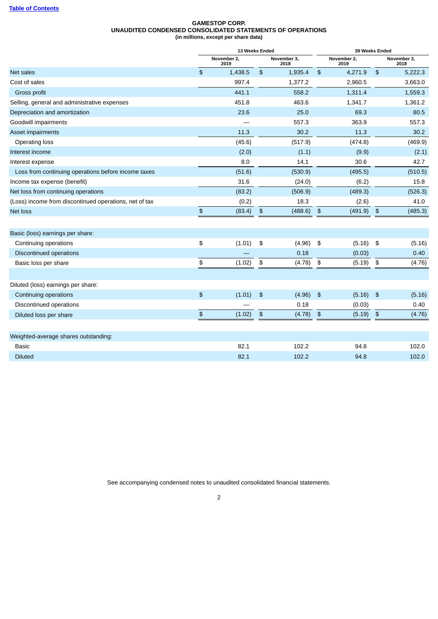#### **GAMESTOP CORP. UNAUDITED CONDENSED CONSOLIDATED STATEMENTS OF OPERATIONS (in millions, except per share data)**

<span id="page-3-0"></span>

|                                                        | 13 Weeks Ended    |                     |                           |                     |                            | 39 Weeks Ended      |               |                     |  |  |
|--------------------------------------------------------|-------------------|---------------------|---------------------------|---------------------|----------------------------|---------------------|---------------|---------------------|--|--|
|                                                        |                   | November 2,<br>2019 |                           | November 3,<br>2018 |                            | November 2,<br>2019 |               | November 3,<br>2018 |  |  |
| Net sales                                              | $\frac{1}{2}$     | 1,438.5             | \$                        | 1,935.4             | $\frac{1}{2}$              | 4,271.9             | $\frac{1}{2}$ | 5,222.3             |  |  |
| Cost of sales                                          |                   | 997.4               |                           | 1,377.2             |                            | 2,960.5             |               | 3,663.0             |  |  |
| Gross profit                                           |                   | 441.1               |                           | 558.2               |                            | 1,311.4             |               | 1,559.3             |  |  |
| Selling, general and administrative expenses           |                   | 451.8               |                           | 463.6               |                            | 1,341.7             |               | 1,361.2             |  |  |
| Depreciation and amortization                          |                   | 23.6                |                           | 25.0                |                            | 69.3                |               | 80.5                |  |  |
| Goodwill impairments                                   |                   |                     |                           | 557.3               |                            | 363.9               |               | 557.3               |  |  |
| Asset impairments                                      |                   | 11.3                |                           | 30.2                |                            | 11.3                |               | 30.2                |  |  |
| Operating loss                                         |                   | (45.6)              |                           | (517.9)             |                            | (474.8)             |               | (469.9)             |  |  |
| Interest income                                        |                   | (2.0)               |                           | (1.1)               |                            | (9.9)               |               | (2.1)               |  |  |
| Interest expense                                       |                   | 8.0                 |                           | 14.1                |                            | 30.6                |               | 42.7                |  |  |
| Loss from continuing operations before income taxes    |                   | (51.6)              |                           | (530.9)             |                            | (495.5)             |               | (510.5)             |  |  |
| Income tax expense (benefit)                           |                   | 31.6                |                           | (24.0)              |                            | (6.2)               |               | 15.8                |  |  |
| Net loss from continuing operations                    |                   | (83.2)              |                           | (506.9)             |                            | (489.3)             |               | (526.3)             |  |  |
| (Loss) income from discontinued operations, net of tax |                   | (0.2)               |                           | 18.3                |                            | (2.6)               |               | 41.0                |  |  |
| <b>Net loss</b>                                        | $\boldsymbol{\$}$ | (83.4)              | $\,$                      | (488.6)             | $\boldsymbol{\mathsf{\$}}$ | (491.9)             | $\sqrt{2}$    | (485.3)             |  |  |
| Basic (loss) earnings per share:                       |                   |                     |                           |                     |                            |                     |               |                     |  |  |
| Continuing operations                                  | \$                | (1.01)              | \$                        | (4.96)              | \$                         | (5.16)              | \$            | (5.16)              |  |  |
| Discontinued operations                                |                   |                     |                           | 0.18                |                            | (0.03)              |               | 0.40                |  |  |
| Basic loss per share                                   | \$                | (1.02)              | \$                        | (4.78)              | \$                         | (5.19)              | \$            | (4.76)              |  |  |
|                                                        |                   |                     |                           |                     |                            |                     |               |                     |  |  |
| Diluted (loss) earnings per share:                     |                   |                     |                           |                     |                            |                     |               |                     |  |  |
| Continuing operations                                  | $\frac{1}{2}$     | (1.01)              | $\frac{4}{5}$             | (4.96)              | $\frac{4}{5}$              | (5.16)              | $\frac{3}{2}$ | (5.16)              |  |  |
| Discontinued operations                                |                   |                     |                           | 0.18                |                            | (0.03)              |               | 0.40                |  |  |
| Diluted loss per share                                 | $\frac{1}{2}$     | (1.02)              | $\boldsymbol{\mathsf{D}}$ | (4.78)              | $\,$                       | (5.19)              | $\frac{1}{2}$ | (4.76)              |  |  |
| Weighted-average shares outstanding:                   |                   |                     |                           |                     |                            |                     |               |                     |  |  |
| <b>Basic</b>                                           |                   | 82.1                |                           | 102.2               |                            | 94.8                |               | 102.0               |  |  |
| <b>Diluted</b>                                         |                   | 82.1                |                           | 102.2               |                            | 94.8                |               | 102.0               |  |  |

See accompanying condensed notes to unaudited consolidated financial statements.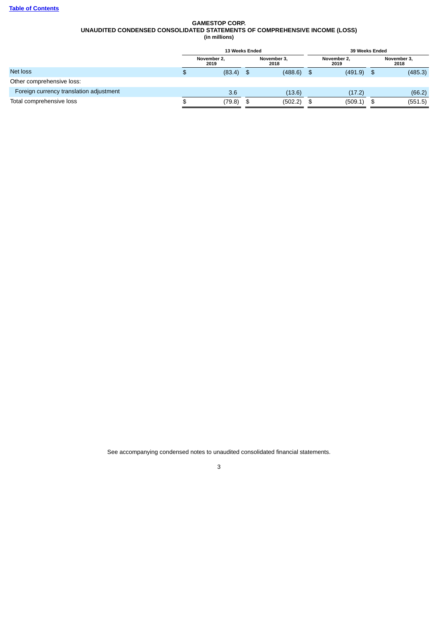#### **GAMESTOP CORP. UNAUDITED CONDENSED CONSOLIDATED STATEMENTS OF COMPREHENSIVE INCOME (LOSS) (in millions)**

<span id="page-4-0"></span>

|                                         | <b>13 Weeks Ended</b> |     |                     | 39 Weeks Ended |                     |      |                     |  |  |
|-----------------------------------------|-----------------------|-----|---------------------|----------------|---------------------|------|---------------------|--|--|
|                                         | November 2.<br>2019   |     | November 3.<br>2018 |                | November 2,<br>2019 |      | November 3,<br>2018 |  |  |
| Net loss                                | (83.4)                | ∣\$ | (488.6)             | - \$           | (491.9)             | - \$ | (485.3)             |  |  |
| Other comprehensive loss:               |                       |     |                     |                |                     |      |                     |  |  |
| Foreign currency translation adjustment | 3.6                   |     | (13.6)              |                | (17.2)              |      | (66.2)              |  |  |
| Total comprehensive loss                | (79.8)                | \$  | (502.2)             | - \$           | (509.1)             |      | (551.5)             |  |  |

See accompanying condensed notes to unaudited consolidated financial statements.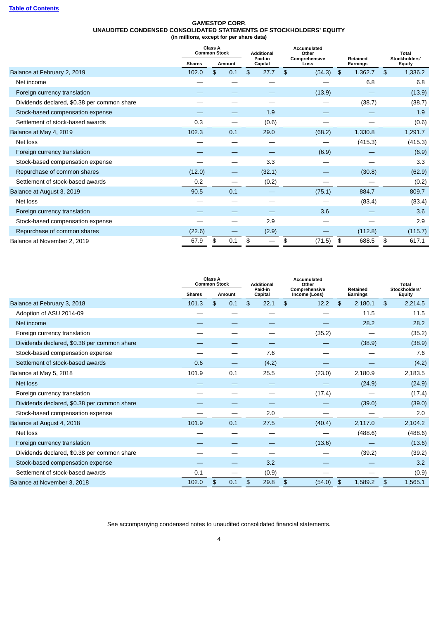| <b>GAMESTOP CORP.</b>                                               |
|---------------------------------------------------------------------|
| UNAUDITED CONDENSED CONSOLIDATED STATEMENTS OF STOCKHOLDERS' EQUITY |
| (in millions, except for per share data)                            |

<span id="page-5-0"></span>

|                                             |               | <b>Class A</b><br><b>Common Stock</b> |        |                | <b>Additional</b>  |    | <b>Accumulated</b><br>Other |                |                      | <b>Total</b>                   |
|---------------------------------------------|---------------|---------------------------------------|--------|----------------|--------------------|----|-----------------------------|----------------|----------------------|--------------------------------|
|                                             | <b>Shares</b> |                                       | Amount |                | Paid-in<br>Capital |    | Comprehensive<br>Loss       |                | Retained<br>Earnings | Stockholders'<br><b>Equity</b> |
| Balance at February 2, 2019                 | 102.0         | $\mathfrak{D}$                        | 0.1    | $\mathfrak{L}$ | 27.7               | \$ | (54.3)                      | $\mathfrak{L}$ | 1,362.7              | \$<br>1,336.2                  |
| Net income                                  |               |                                       |        |                |                    |    |                             |                | 6.8                  | 6.8                            |
| Foreign currency translation                |               |                                       |        |                |                    |    | (13.9)                      |                |                      | (13.9)                         |
| Dividends declared, \$0.38 per common share |               |                                       |        |                |                    |    |                             |                | (38.7)               | (38.7)                         |
| Stock-based compensation expense            |               |                                       |        |                | 1.9                |    |                             |                |                      | 1.9                            |
| Settlement of stock-based awards            | 0.3           |                                       |        |                | (0.6)              |    |                             |                |                      | (0.6)                          |
| Balance at May 4, 2019                      | 102.3         |                                       | 0.1    |                | 29.0               |    | (68.2)                      |                | 1,330.8              | 1,291.7                        |
| Net loss                                    |               |                                       |        |                |                    |    |                             |                | (415.3)              | (415.3)                        |
| Foreign currency translation                |               |                                       |        |                |                    |    | (6.9)                       |                |                      | (6.9)                          |
| Stock-based compensation expense            |               |                                       |        |                | 3.3                |    |                             |                |                      | 3.3                            |
| Repurchase of common shares                 | (12.0)        |                                       |        |                | (32.1)             |    |                             |                | (30.8)               | (62.9)                         |
| Settlement of stock-based awards            | 0.2           |                                       |        |                | (0.2)              |    |                             |                |                      | (0.2)                          |
| Balance at August 3, 2019                   | 90.5          |                                       | 0.1    |                |                    |    | (75.1)                      |                | 884.7                | 809.7                          |
| Net loss                                    |               |                                       |        |                |                    |    |                             |                | (83.4)               | (83.4)                         |
| Foreign currency translation                |               |                                       |        |                |                    |    | 3.6                         |                |                      | 3.6                            |
| Stock-based compensation expense            |               |                                       |        |                | 2.9                |    | --                          |                |                      | 2.9                            |
| Repurchase of common shares                 | (22.6)        |                                       |        |                | (2.9)              |    |                             |                | (112.8)              | (115.7)                        |
| Balance at November 2, 2019                 | 67.9          | \$                                    | 0.1    | \$             |                    | \$ | (71.5)                      | \$             | 688.5                | \$<br>617.1                    |

|                                             |               | <b>Class A</b><br><b>Common Stock</b> |        |                | <b>Additional</b>  |                | <b>Accumulated</b><br>Other    |               |                             | <b>Total</b>                   |
|---------------------------------------------|---------------|---------------------------------------|--------|----------------|--------------------|----------------|--------------------------------|---------------|-----------------------------|--------------------------------|
|                                             | <b>Shares</b> |                                       | Amount |                | Paid-in<br>Capital |                | Comprehensive<br>Income (Loss) |               | Retained<br><b>Earnings</b> | Stockholders'<br><b>Equity</b> |
| Balance at February 3, 2018                 | 101.3         | \$                                    | 0.1    | $\mathfrak{L}$ | 22.1               | $\mathfrak{L}$ | 12.2                           | \$            | 2,180.1                     | \$<br>2,214.5                  |
| Adoption of ASU 2014-09                     |               |                                       |        |                |                    |                |                                |               | 11.5                        | 11.5                           |
| Net income                                  |               |                                       |        |                |                    |                |                                |               | 28.2                        | 28.2                           |
| Foreign currency translation                |               |                                       |        |                |                    |                | (35.2)                         |               |                             | (35.2)                         |
| Dividends declared, \$0.38 per common share |               |                                       |        |                |                    |                |                                |               | (38.9)                      | (38.9)                         |
| Stock-based compensation expense            |               |                                       |        |                | 7.6                |                |                                |               |                             | 7.6                            |
| Settlement of stock-based awards            | 0.6           |                                       |        |                | (4.2)              |                |                                |               |                             | (4.2)                          |
| Balance at May 5, 2018                      | 101.9         |                                       | 0.1    |                | 25.5               |                | (23.0)                         |               | 2,180.9                     | 2,183.5                        |
| Net loss                                    |               |                                       |        |                |                    |                |                                |               | (24.9)                      | (24.9)                         |
| Foreign currency translation                |               |                                       |        |                |                    |                | (17.4)                         |               |                             | (17.4)                         |
| Dividends declared, \$0.38 per common share |               |                                       |        |                |                    |                |                                |               | (39.0)                      | (39.0)                         |
| Stock-based compensation expense            |               |                                       |        |                | 2.0                |                |                                |               |                             | 2.0                            |
| Balance at August 4, 2018                   | 101.9         |                                       | 0.1    |                | 27.5               |                | (40.4)                         |               | 2,117.0                     | 2,104.2                        |
| Net loss                                    |               |                                       |        |                |                    |                |                                |               | (488.6)                     | (488.6)                        |
| Foreign currency translation                |               |                                       |        |                |                    |                | (13.6)                         |               |                             | (13.6)                         |
| Dividends declared, \$0.38 per common share |               |                                       |        |                |                    |                |                                |               | (39.2)                      | (39.2)                         |
| Stock-based compensation expense            |               |                                       |        |                | 3.2                |                |                                |               |                             | 3.2                            |
| Settlement of stock-based awards            | 0.1           |                                       |        |                | (0.9)              |                |                                |               |                             | (0.9)                          |
| Balance at November 3, 2018                 | 102.0         | \$                                    | 0.1    | \$             | 29.8               | $\mathfrak{S}$ | (54.0)                         | $\frac{2}{3}$ | 1,589.2                     | \$<br>1,565.1                  |

See accompanying condensed notes to unaudited consolidated financial statements.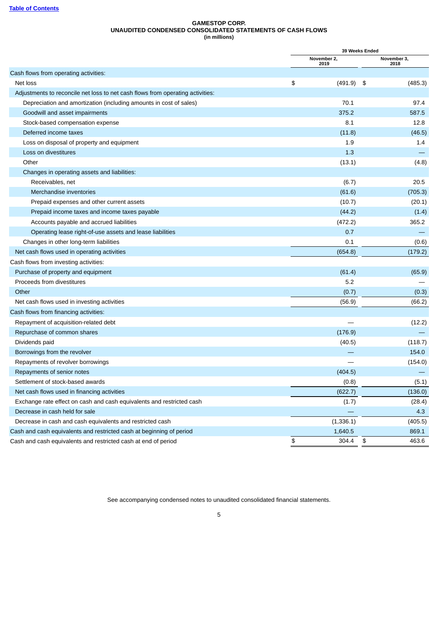#### **GAMESTOP CORP. UNAUDITED CONDENSED CONSOLIDATED STATEMENTS OF CASH FLOWS (in millions)**

<span id="page-6-0"></span>

|                                                                                | 39 Weeks Ended      |    |                     |  |  |
|--------------------------------------------------------------------------------|---------------------|----|---------------------|--|--|
|                                                                                | November 2,<br>2019 |    | November 3,<br>2018 |  |  |
| Cash flows from operating activities:                                          |                     |    |                     |  |  |
| Net loss                                                                       | \$<br>$(491.9)$ \$  |    | (485.3)             |  |  |
| Adjustments to reconcile net loss to net cash flows from operating activities: |                     |    |                     |  |  |
| Depreciation and amortization (including amounts in cost of sales)             | 70.1                |    | 97.4                |  |  |
| Goodwill and asset impairments                                                 | 375.2               |    | 587.5               |  |  |
| Stock-based compensation expense                                               | 8.1                 |    | 12.8                |  |  |
| Deferred income taxes                                                          | (11.8)              |    | (46.5)              |  |  |
| Loss on disposal of property and equipment                                     | 1.9                 |    | 1.4                 |  |  |
| Loss on divestitures                                                           | 1.3                 |    |                     |  |  |
| Other                                                                          | (13.1)              |    | (4.8)               |  |  |
| Changes in operating assets and liabilities:                                   |                     |    |                     |  |  |
| Receivables, net                                                               | (6.7)               |    | 20.5                |  |  |
| Merchandise inventories                                                        | (61.6)              |    | (705.3)             |  |  |
| Prepaid expenses and other current assets                                      | (10.7)              |    | (20.1)              |  |  |
| Prepaid income taxes and income taxes payable                                  | (44.2)              |    | (1.4)               |  |  |
| Accounts payable and accrued liabilities                                       | (472.2)             |    | 365.2               |  |  |
| Operating lease right-of-use assets and lease liabilities                      | 0.7                 |    |                     |  |  |
| Changes in other long-term liabilities                                         | 0.1                 |    | (0.6)               |  |  |
| Net cash flows used in operating activities                                    | (654.8)             |    | (179.2)             |  |  |
| Cash flows from investing activities:                                          |                     |    |                     |  |  |
| Purchase of property and equipment                                             | (61.4)              |    | (65.9)              |  |  |
| Proceeds from divestitures                                                     | 5.2                 |    |                     |  |  |
| Other                                                                          | (0.7)               |    | (0.3)               |  |  |
| Net cash flows used in investing activities                                    | (56.9)              |    | (66.2)              |  |  |
| Cash flows from financing activities:                                          |                     |    |                     |  |  |
| Repayment of acquisition-related debt                                          |                     |    | (12.2)              |  |  |
| Repurchase of common shares                                                    | (176.9)             |    |                     |  |  |
| Dividends paid                                                                 | (40.5)              |    | (118.7)             |  |  |
| Borrowings from the revolver                                                   |                     |    | 154.0               |  |  |
| Repayments of revolver borrowings                                              |                     |    | (154.0)             |  |  |
| Repayments of senior notes                                                     | (404.5)             |    |                     |  |  |
| Settlement of stock-based awards                                               | (0.8)               |    | (5.1)               |  |  |
| Net cash flows used in financing activities                                    | (622.7)             |    | (136.0)             |  |  |
| Exchange rate effect on cash and cash equivalents and restricted cash          | (1.7)               |    | (28.4)              |  |  |
| Decrease in cash held for sale                                                 |                     |    | 4.3                 |  |  |
| Decrease in cash and cash equivalents and restricted cash                      | (1, 336.1)          |    | (405.5)             |  |  |
| Cash and cash equivalents and restricted cash at beginning of period           | 1,640.5             |    | 869.1               |  |  |
| Cash and cash equivalents and restricted cash at end of period                 | \$<br>304.4         | \$ | 463.6               |  |  |
|                                                                                |                     |    |                     |  |  |

See accompanying condensed notes to unaudited consolidated financial statements.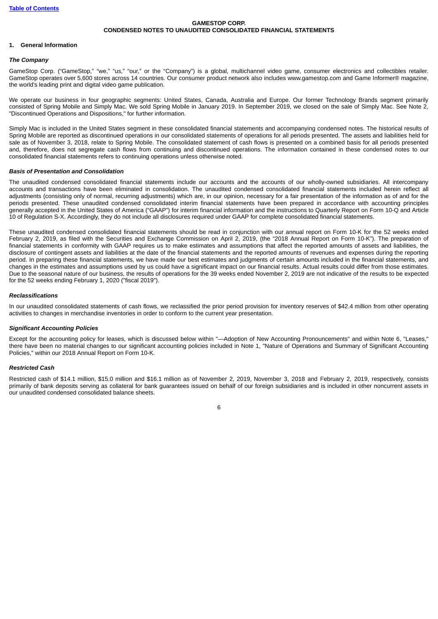#### <span id="page-7-0"></span>**1. General Information**

#### *The Company*

GameStop Corp. ("GameStop," "we," "us," "our," or the "Company") is a global, multichannel video game, consumer electronics and collectibles retailer. GameStop operates over 5,600 stores across 14 countries. Our consumer product network also includes www.gamestop.com and Game Informer® magazine, the world's leading print and digital video game publication.

We operate our business in four geographic segments: United States, Canada, Australia and Europe. Our former Technology Brands segment primarily consisted of Spring Mobile and Simply Mac. We sold Spring Mobile in January 2019. In September 2019, we closed on the sale of Simply Mac. See Note 2, "Discontinued Operations and Dispositions," for further information.

Simply Mac is included in the United States segment in these consolidated financial statements and accompanying condensed notes. The historical results of Spring Mobile are reported as discontinued operations in our consolidated statements of operations for all periods presented. The assets and liabilities held for sale as of November 3, 2018, relate to Spring Mobile. The consolidated statement of cash flows is presented on a combined basis for all periods presented and, therefore, does not segregate cash flows from continuing and discontinued operations. The information contained in these condensed notes to our consolidated financial statements refers to continuing operations unless otherwise noted.

#### *Basis of Presentation and Consolidation*

The unaudited condensed consolidated financial statements include our accounts and the accounts of our wholly-owned subsidiaries. All intercompany accounts and transactions have been eliminated in consolidation. The unaudited condensed consolidated financial statements included herein reflect all adjustments (consisting only of normal, recurring adjustments) which are, in our opinion, necessary for a fair presentation of the information as of and for the periods presented. These unaudited condensed consolidated interim financial statements have been prepared in accordance with accounting principles generally accepted in the United States of America ("GAAP") for interim financial information and the instructions to Quarterly Report on Form 10-Q and Article 10 of Regulation S-X. Accordingly, they do not include all disclosures required under GAAP for complete consolidated financial statements.

These unaudited condensed consolidated financial statements should be read in conjunction with our annual report on Form 10-K for the 52 weeks ended February 2, 2019, as filed with the Securities and Exchange Commission on April 2, 2019, (the "2018 Annual Report on Form 10-K"). The preparation of financial statements in conformity with GAAP requires us to make estimates and assumptions that affect the reported amounts of assets and liabilities, the disclosure of contingent assets and liabilities at the date of the financial statements and the reported amounts of revenues and expenses during the reporting period. In preparing these financial statements, we have made our best estimates and judgments of certain amounts included in the financial statements, and changes in the estimates and assumptions used by us could have a significant impact on our financial results. Actual results could differ from those estimates. Due to the seasonal nature of our business, the results of operations for the 39 weeks ended November 2, 2019 are not indicative of the results to be expected for the 52 weeks ending February 1, 2020 ("fiscal 2019").

#### *Reclassifications*

In our unaudited consolidated statements of cash flows, we reclassified the prior period provision for inventory reserves of \$42.4 million from other operating activities to changes in merchandise inventories in order to conform to the current year presentation.

#### *Significant Accounting Policies*

Except for the accounting policy for leases, which is discussed below within "—Adoption of New Accounting Pronouncements" and within Note 6, "Leases," there have been no material changes to our significant accounting policies included in Note 1, "Nature of Operations and Summary of Significant Accounting Policies," within our 2018 Annual Report on Form 10-K.

#### *Restricted Cash*

Restricted cash of \$14.1 million, \$15.0 million and \$16.1 million as of November 2, 2019, November 3, 2018 and February 2, 2019, respectively, consists primarily of bank deposits serving as collateral for bank guarantees issued on behalf of our foreign subsidiaries and is included in other noncurrent assets in our unaudited condensed consolidated balance sheets.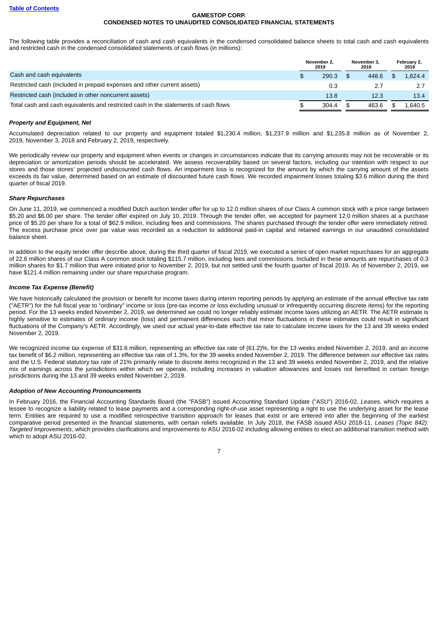The following table provides a reconciliation of cash and cash equivalents in the condensed consolidated balance sheets to total cash and cash equivalents and restricted cash in the condensed consolidated statements of cash flows (in millions):

|                                                                                     | November 2.<br>2019 | November 3.<br>2018 | February 2.<br>2019 |
|-------------------------------------------------------------------------------------|---------------------|---------------------|---------------------|
| Cash and cash equivalents                                                           | 290.3               | 448.6               | 1.624.4             |
| Restricted cash (included in prepaid expenses and other current assets)             | 0.3                 |                     |                     |
| Restricted cash (included in other noncurrent assets)                               | 13.8                | 12.3                | 13.4                |
| Total cash and cash equivalents and restricted cash in the statements of cash flows | 304.4               | 463.6               | 1.640.5             |

#### *Property and Equipment, Net*

Accumulated depreciation related to our property and equipment totaled \$1,230.4 million, \$1,237.9 million and \$1,235.8 million as of November 2, 2019, November 3, 2018 and February 2, 2019, respectively.

We periodically review our property and equipment when events or changes in circumstances indicate that its carrying amounts may not be recoverable or its depreciation or amortization periods should be accelerated. We assess recoverability based on several factors, including our intention with respect to our stores and those stores' projected undiscounted cash flows. An impairment loss is recognized for the amount by which the carrying amount of the assets exceeds its fair value, determined based on an estimate of discounted future cash flows. We recorded impairment losses totaling \$3.6 million during the third quarter of fiscal 2019.

#### *Share Repurchases*

On June 11, 2019, we commenced a modified Dutch auction tender offer for up to 12.0 million shares of our Class A common stock with a price range between \$5.20 and \$6.00 per share. The tender offer expired on July 10, 2019. Through the tender offer, we accepted for payment 12.0 million shares at a purchase price of \$5.20 per share for a total of \$62.9 million, including fees and commissions. The shares purchased through the tender offer were immediately retired. The excess purchase price over par value was recorded as a reduction to additional paid-in capital and retained earnings in our unaudited consolidated balance sheet.

In addition to the equity tender offer describe above, during the third quarter of fiscal 2019, we executed a series of open market repurchases for an aggregate of 22.6 million shares of our Class A common stock totaling \$115.7 million, including fees and commissions. Included in these amounts are repurchases of 0.3 million shares for \$1.7 million that were initiated prior to November 2, 2019, but not settled until the fourth quarter of fiscal 2019. As of November 2, 2019, we have \$121.4 million remaining under our share repurchase program.

#### *Income Tax Expense (Benefit)*

We have historically calculated the provision or benefit for income taxes during interim reporting periods by applying an estimate of the annual effective tax rate ("AETR") for the full fiscal year to "ordinary" income or loss (pre-tax income or loss excluding unusual or infrequently occurring discrete items) for the reporting period. For the 13 weeks ended November 2, 2019, we determined we could no longer reliably estimate income taxes utilizing an AETR. The AETR estimate is highly sensitive to estimates of ordinary income (loss) and permanent differences such that minor fluctuations in these estimates could result in significant fluctuations of the Company's AETR. Accordingly, we used our actual year-to-date effective tax rate to calculate income taxes for the 13 and 39 weeks ended November 2, 2019.

We recognized income tax expense of \$31.6 million, representing an effective tax rate of (61.2)%, for the 13 weeks ended November 2, 2019, and an income tax benefit of \$6.2 million, representing an effective tax rate of 1.3%, for the 39 weeks ended November 2, 2019. The difference between our effective tax rates and the U.S. Federal statutory tax rate of 21% primarily relate to discrete items recognized in the 13 and 39 weeks ended November 2, 2019, and the relative mix of earnings across the jurisdictions within which we operate, including increases in valuation allowances and losses not benefited in certain foreign jurisdictions during the 13 and 39 weeks ended November 2, 2019.

#### *Adoption of New Accounting Pronouncements*

In February 2016, the Financial Accounting Standards Board (the "FASB") issued Accounting Standard Update ("ASU") 2016-02, *Leases,* which requires a lessee to recognize a liability related to lease payments and a corresponding right-of-use asset representing a right to use the underlying asset for the lease term. Entities are required to use a modified retrospective transition approach for leases that exist or are entered into after the beginning of the earliest comparative period presented in the financial statements, with certain reliefs available. In July 2018, the FASB issued ASU 2018-11, *Leases (Topic 842): Targeted Improvements*, which provides clarifications and improvements to ASU 2016-02 including allowing entities to elect an additional transition method with which to adopt ASU 2016-02.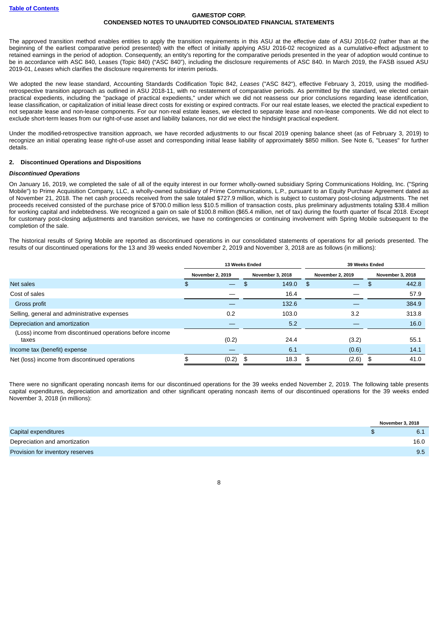The approved transition method enables entities to apply the transition requirements in this ASU at the effective date of ASU 2016-02 (rather than at the beginning of the earliest comparative period presented) with the effect of initially applying ASU 2016-02 recognized as a cumulative-effect adjustment to retained earnings in the period of adoption. Consequently, an entity's reporting for the comparative periods presented in the year of adoption would continue to be in accordance with ASC 840, Leases (Topic 840) ("ASC 840"), including the disclosure requirements of ASC 840. In March 2019, the FASB issued ASU 2019-01, *Leases* which clarifies the disclosure requirements for interim periods.

We adopted the new lease standard, Accounting Standards Codification Topic 842, *Leases* ("ASC 842"), effective February 3, 2019, using the modifiedretrospective transition approach as outlined in ASU 2018-11, with no restatement of comparative periods. As permitted by the standard, we elected certain practical expedients, including the "package of practical expedients," under which we did not reassess our prior conclusions regarding lease identification, lease classification, or capitalization of initial lease direct costs for existing or expired contracts. For our real estate leases, we elected the practical expedient to not separate lease and non-lease components. For our non-real estate leases, we elected to separate lease and non-lease components. We did not elect to exclude short-term leases from our right-of-use asset and liability balances, nor did we elect the hindsight practical expedient.

Under the modified-retrospective transition approach, we have recorded adjustments to our fiscal 2019 opening balance sheet (as of February 3, 2019) to recognize an initial operating lease right-of-use asset and corresponding initial lease liability of approximately \$850 million. See Note 6, "Leases" for further details.

#### **2. Discontinued Operations and Dispositions**

#### *Discontinued Operations*

On January 16, 2019, we completed the sale of all of the equity interest in our former wholly-owned subsidiary Spring Communications Holding, Inc. ("Spring Mobile") to Prime Acquisition Company, LLC, a wholly-owned subsidiary of Prime Communications, L.P., pursuant to an Equity Purchase Agreement dated as of November 21, 2018. The net cash proceeds received from the sale totaled \$727.9 million, which is subject to customary post-closing adjustments. The net proceeds received consisted of the purchase price of \$700.0 million less \$10.5 million of transaction costs, plus preliminary adjustments totaling \$38.4 million for working capital and indebtedness. We recognized a gain on sale of \$100.8 million (\$65.4 million, net of tax) during the fourth quarter of fiscal 2018. Except for customary post-closing adjustments and transition services, we have no contingencies or continuing involvement with Spring Mobile subsequent to the completion of the sale.

The historical results of Spring Mobile are reported as discontinued operations in our consolidated statements of operations for all periods presented. The results of our discontinued operations for the 13 and 39 weeks ended November 2, 2019 and November 3, 2018 are as follows (in millions):

|                                                                   | 13 Weeks Ended          |    | 39 Weeks Ended   |                         |       |    |                         |  |  |
|-------------------------------------------------------------------|-------------------------|----|------------------|-------------------------|-------|----|-------------------------|--|--|
|                                                                   | <b>November 2, 2019</b> |    | November 3, 2018 | <b>November 2, 2019</b> |       |    | <b>November 3, 2018</b> |  |  |
| Net sales                                                         | \$                      |    | 149.0            | \$                      |       |    | 442.8                   |  |  |
| Cost of sales                                                     |                         |    | 16.4             |                         |       |    | 57.9                    |  |  |
| Gross profit                                                      |                         |    | 132.6            |                         |       |    | 384.9                   |  |  |
| Selling, general and administrative expenses                      | 0.2                     |    | 103.0            |                         | 3.2   |    | 313.8                   |  |  |
| Depreciation and amortization                                     |                         |    | 5.2              |                         |       |    | 16.0                    |  |  |
| (Loss) income from discontinued operations before income<br>taxes | (0.2)                   |    | 24.4             |                         | (3.2) |    | 55.1                    |  |  |
| Income tax (benefit) expense                                      |                         |    | 6.1              |                         | (0.6) |    | 14.1                    |  |  |
| Net (loss) income from discontinued operations                    | (0.2)                   | \$ | 18.3             | \$                      | (2.6) | \$ | 41.0                    |  |  |

There were no significant operating noncash items for our discontinued operations for the 39 weeks ended November 2, 2019. The following table presents capital expenditures, depreciation and amortization and other significant operating noncash items of our discontinued operations for the 39 weeks ended November 3, 2018 (in millions):

|                                  | <b>November 3, 2018</b> |
|----------------------------------|-------------------------|
| Capital expenditures             | 6.1                     |
| Depreciation and amortization    | 16.0                    |
| Provision for inventory reserves | 9.5                     |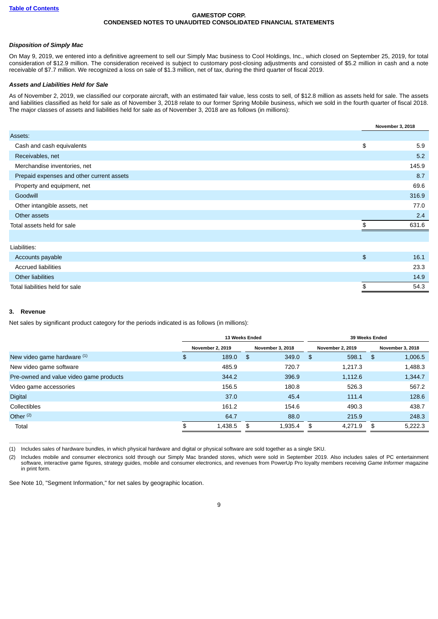#### *Disposition of Simply Mac*

On May 9, 2019, we entered into a definitive agreement to sell our Simply Mac business to Cool Holdings, Inc., which closed on September 25, 2019, for total consideration of \$12.9 million. The consideration received is subject to customary post-closing adjustments and consisted of \$5.2 million in cash and a note receivable of \$7.7 million. We recognized a loss on sale of \$1.3 million, net of tax, during the third quarter of fiscal 2019.

#### *Assets and Liabilities Held for Sale*

As of November 2, 2019, we classified our corporate aircraft, with an estimated fair value, less costs to sell, of \$12.8 million as assets held for sale. The assets and liabilities classified as held for sale as of November 3, 2018 relate to our former Spring Mobile business, which we sold in the fourth quarter of fiscal 2018. The major classes of assets and liabilities held for sale as of November 3, 2018 are as follows (in millions):

|                                           | November 3, 2018 |
|-------------------------------------------|------------------|
| Assets:                                   |                  |
| Cash and cash equivalents                 | \$<br>5.9        |
| Receivables, net                          | 5.2              |
| Merchandise inventories, net              | 145.9            |
| Prepaid expenses and other current assets | 8.7              |
| Property and equipment, net               | 69.6             |
| Goodwill                                  | 316.9            |
| Other intangible assets, net              | 77.0             |
| Other assets                              | 2.4              |
| Total assets held for sale                | \$<br>631.6      |
|                                           |                  |
| Liabilities:                              |                  |
| Accounts payable                          | \$<br>16.1       |
| <b>Accrued liabilities</b>                | 23.3             |
| Other liabilities                         | 14.9             |
| Total liabilities held for sale           | \$<br>54.3       |

#### **3. Revenue**

 $\mathcal{L}_\text{max} = \mathcal{L}_\text{max} = \mathcal{L}_\text{max} = \mathcal{L}_\text{max} = \mathcal{L}_\text{max} = \mathcal{L}_\text{max} = \mathcal{L}_\text{max}$ 

Net sales by significant product category for the periods indicated is as follows (in millions):

|                                         |     | 13 Weeks Ended          |    |                         | 39 Weeks Ended |                         |     |                  |  |
|-----------------------------------------|-----|-------------------------|----|-------------------------|----------------|-------------------------|-----|------------------|--|
|                                         |     | <b>November 2, 2019</b> |    | <b>November 3, 2018</b> |                | <b>November 2, 2019</b> |     | November 3, 2018 |  |
| New video game hardware (1)             | \$  | 189.0                   | \$ | 349.0                   | -\$            | 598.1                   | -\$ | 1,006.5          |  |
| New video game software                 |     | 485.9                   |    | 720.7                   |                | 1,217.3                 |     | 1,488.3          |  |
| Pre-owned and value video game products |     | 344.2                   |    | 396.9                   |                | 1,112.6                 |     | 1,344.7          |  |
| Video game accessories                  |     | 156.5                   |    | 180.8                   |                | 526.3                   |     | 567.2            |  |
| <b>Digital</b>                          |     | 37.0                    |    | 45.4                    |                | 111.4                   |     | 128.6            |  |
| Collectibles                            |     | 161.2                   |    | 154.6                   |                | 490.3                   |     | 438.7            |  |
| Other $(2)$                             |     | 64.7                    |    | 88.0                    |                | 215.9                   |     | 248.3            |  |
| Total                                   | \$. | 1,438.5                 | \$ | 1,935.4                 | -\$            | 4,271.9                 | \$  | 5,222.3          |  |
|                                         |     |                         |    |                         |                |                         |     |                  |  |

(1) Includes sales of hardware bundles, in which physical hardware and digital or physical software are sold together as a single SKU.

(2) Includes mobile and consumer electronics sold through our Simply Mac branded stores, which were sold in September 2019. Also includes sales of PC entertainment software, interactive game figures, strategy guides, mobile and consumer electronics, and revenues from PowerUp Pro loyalty members receiving *Game Informer* magazine in print form.

See Note 10, "Segment Information," for net sales by geographic location.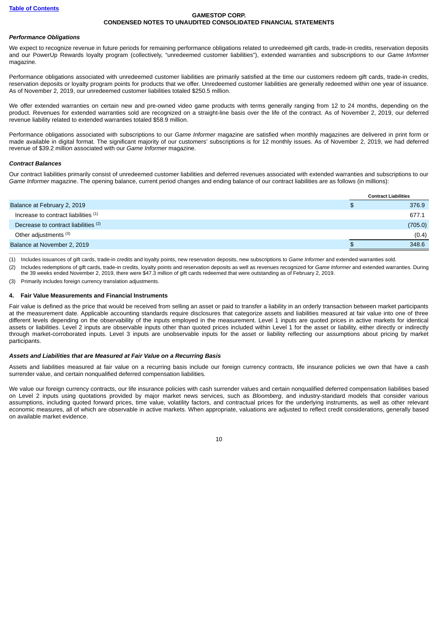#### *Performance Obligations*

We expect to recognize revenue in future periods for remaining performance obligations related to unredeemed gift cards, trade-in credits, reservation deposits and our PowerUp Rewards loyalty program (collectively, "unredeemed customer liabilities"), extended warranties and subscriptions to our *Game Informer* magazine.

Performance obligations associated with unredeemed customer liabilities are primarily satisfied at the time our customers redeem gift cards, trade-in credits, reservation deposits or loyalty program points for products that we offer. Unredeemed customer liabilities are generally redeemed within one year of issuance. As of November 2, 2019, our unredeemed customer liabilities totaled \$250.5 million.

We offer extended warranties on certain new and pre-owned video game products with terms generally ranging from 12 to 24 months, depending on the product. Revenues for extended warranties sold are recognized on a straight-line basis over the life of the contract. As of November 2, 2019, our deferred revenue liability related to extended warranties totaled \$58.9 million.

Performance obligations associated with subscriptions to our *Game Informer* magazine are satisfied when monthly magazines are delivered in print form or made available in digital format. The significant majority of our customers' subscriptions is for 12 monthly issues. As of November 2, 2019, we had deferred revenue of \$39.2 million associated with our *Game Informer* magazine.

#### *Contract Balances*

Our contract liabilities primarily consist of unredeemed customer liabilities and deferred revenues associated with extended warranties and subscriptions to our *Game Informer* magazine. The opening balance, current period changes and ending balance of our contract liabilities are as follows (in millions):

|                                      | <b>Contract Liabilities</b> |
|--------------------------------------|-----------------------------|
| Balance at February 2, 2019          | 376.9                       |
| Increase to contract liabilities (1) | 677.1                       |
| Decrease to contract liabilities (2) | (705.0)                     |
| Other adjustments (3)                | (0.4)                       |
| Balance at November 2, 2019          | 348.6                       |
|                                      |                             |

(1) Includes issuances of gift cards, trade-in credits and loyalty points, new reservation deposits, new subscriptions to *Game Informer* and extended warranties sold.

(2) Includes redemptions of gift cards, trade-in credits, loyalty points and reservation deposits as well as revenues recognized for *Game Informer* and extended warranties. During the 39 weeks ended November 2, 2019, there were \$47.3 million of gift cards redeemed that were outstanding as of February 2, 2019.

(3) Primarily includes foreign currency translation adjustments.

#### **4. Fair Value Measurements and Financial Instruments**

Fair value is defined as the price that would be received from selling an asset or paid to transfer a liability in an orderly transaction between market participants at the measurement date. Applicable accounting standards require disclosures that categorize assets and liabilities measured at fair value into one of three different levels depending on the observability of the inputs employed in the measurement. Level 1 inputs are quoted prices in active markets for identical assets or liabilities. Level 2 inputs are observable inputs other than quoted prices included within Level 1 for the asset or liability, either directly or indirectly through market-corroborated inputs. Level 3 inputs are unobservable inputs for the asset or liability reflecting our assumptions about pricing by market participants.

#### *Assets and Liabilities that are Measured at Fair Value on a Recurring Basis*

Assets and liabilities measured at fair value on a recurring basis include our foreign currency contracts, life insurance policies we own that have a cash surrender value, and certain nonqualified deferred compensation liabilities.

We value our foreign currency contracts, our life insurance policies with cash surrender values and certain nonqualified deferred compensation liabilities based on Level 2 inputs using quotations provided by major market news services, such as *Bloomberg*, and industry-standard models that consider various assumptions, including quoted forward prices, time value, volatility factors, and contractual prices for the underlying instruments, as well as other relevant economic measures, all of which are observable in active markets. When appropriate, valuations are adjusted to reflect credit considerations, generally based on available market evidence.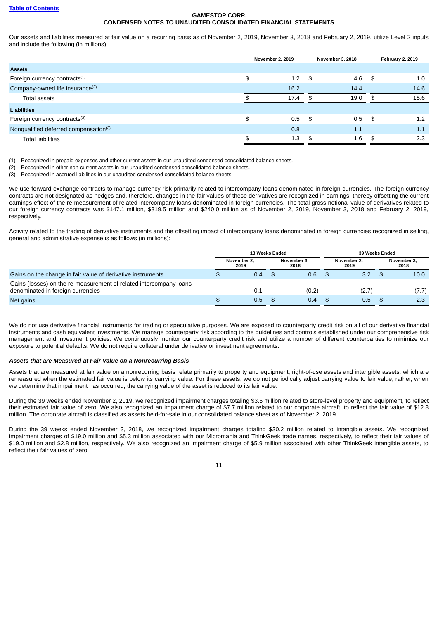$\mathcal{L}_\text{max}$  and the contract of the contract of the contract of the contract of the contract of the contract of the contract of the contract of the contract of the contract of the contract of the contract of the contrac

#### **GAMESTOP CORP. CONDENSED NOTES TO UNAUDITED CONSOLIDATED FINANCIAL STATEMENTS**

Our assets and liabilities measured at fair value on a recurring basis as of November 2, 2019, November 3, 2018 and February 2, 2019, utilize Level 2 inputs and include the following (in millions):

|                                                   |    | <b>November 2, 2019</b> |      | November 3, 2018 | <b>February 2, 2019</b> |      |
|---------------------------------------------------|----|-------------------------|------|------------------|-------------------------|------|
| <b>Assets</b>                                     |    |                         |      |                  |                         |      |
| Foreign currency contracts $(1)$                  | \$ | 1.2                     | - \$ | 4.6              | -\$                     | 1.0  |
| Company-owned life insurance <sup>(2)</sup>       |    | 16.2                    |      | 14.4             |                         | 14.6 |
| Total assets                                      | .ቴ | 17.4                    | - \$ | 19.0             | - \$                    | 15.6 |
| <b>Liabilities</b>                                |    |                         |      |                  |                         |      |
| Foreign currency contracts <sup>(3)</sup>         | \$ | 0.5                     | - \$ | 0.5              | -\$                     | 1.2  |
| Nonqualified deferred compensation <sup>(3)</sup> |    | 0.8                     |      | 1.1              |                         | 1.1  |
| <b>Total liabilities</b>                          | \$ | 1.3                     |      | 1.6              |                         | 2.3  |

(1) Recognized in prepaid expenses and other current assets in our unaudited condensed consolidated balance sheets.

(2) Recognized in other non-current assets in our unaudited condensed consolidated balance sheets.

(3) Recognized in accrued liabilities in our unaudited condensed consolidated balance sheets.

We use forward exchange contracts to manage currency risk primarily related to intercompany loans denominated in foreign currencies. The foreign currency contracts are not designated as hedges and, therefore, changes in the fair values of these derivatives are recognized in earnings, thereby offsetting the current earnings effect of the re-measurement of related intercompany loans denominated in foreign currencies. The total gross notional value of derivatives related to our foreign currency contracts was \$147.1 million, \$319.5 million and \$240.0 million as of November 2, 2019, November 3, 2018 and February 2, 2019, respectively.

Activity related to the trading of derivative instruments and the offsetting impact of intercompany loans denominated in foreign currencies recognized in selling. general and administrative expense is as follows (in millions):

|                                                                                                         | 13 Weeks Ended |                     |  |                     |  | 39 Weeks Ended      |  |                     |  |  |
|---------------------------------------------------------------------------------------------------------|----------------|---------------------|--|---------------------|--|---------------------|--|---------------------|--|--|
|                                                                                                         |                | November 2.<br>2019 |  | November 3.<br>2018 |  | November 2,<br>2019 |  | November 3,<br>2018 |  |  |
| Gains on the change in fair value of derivative instruments                                             |                | 0.4                 |  | 0.6                 |  | 3.2                 |  | 10.0                |  |  |
| Gains (losses) on the re-measurement of related intercompany loans<br>denominated in foreign currencies |                | 0.1                 |  | (0.2)               |  | 2.7                 |  | (7.7)               |  |  |
| Net gains                                                                                               |                | 0.5                 |  | 0.4                 |  | 0.5                 |  | 2.3                 |  |  |

We do not use derivative financial instruments for trading or speculative purposes. We are exposed to counterparty credit risk on all of our derivative financial instruments and cash equivalent investments. We manage counterparty risk according to the guidelines and controls established under our comprehensive risk management and investment policies. We continuously monitor our counterparty credit risk and utilize a number of different counterparties to minimize our exposure to potential defaults. We do not require collateral under derivative or investment agreements.

#### *Assets that are Measured at Fair Value on a Nonrecurring Basis*

Assets that are measured at fair value on a nonrecurring basis relate primarily to property and equipment, right-of-use assets and intangible assets, which are remeasured when the estimated fair value is below its carrying value. For these assets, we do not periodically adjust carrying value to fair value; rather, when we determine that impairment has occurred, the carrying value of the asset is reduced to its fair value.

During the 39 weeks ended November 2, 2019, we recognized impairment charges totaling \$3.6 million related to store-level property and equipment, to reflect their estimated fair value of zero. We also recognized an impairment charge of \$7.7 million related to our corporate aircraft, to reflect the fair value of \$12.8 million. The corporate aircraft is classified as assets held-for-sale in our consolidated balance sheet as of November 2, 2019.

During the 39 weeks ended November 3, 2018, we recognized impairment charges totaling \$30.2 million related to intangible assets. We recognized impairment charges of \$19.0 million and \$5.3 million associated with our Micromania and ThinkGeek trade names, respectively, to reflect their fair values of \$19.0 million and \$2.8 million, respectively. We also recognized an impairment charge of \$5.9 million associated with other ThinkGeek intangible assets, to reflect their fair values of zero.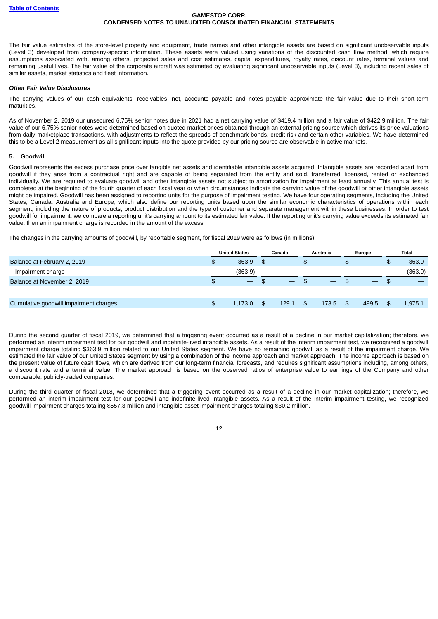The fair value estimates of the store-level property and equipment, trade names and other intangible assets are based on significant unobservable inputs (Level 3) developed from company-specific information. These assets were valued using variations of the discounted cash flow method, which require assumptions associated with, among others, projected sales and cost estimates, capital expenditures, royalty rates, discount rates, terminal values and remaining useful lives. The fair value of the corporate aircraft was estimated by evaluating significant unobservable inputs (Level 3), including recent sales of similar assets, market statistics and fleet information.

#### *Other Fair Value Disclosures*

The carrying values of our cash equivalents, receivables, net, accounts payable and notes payable approximate the fair value due to their short-term maturities.

As of November 2, 2019 our unsecured 6.75% senior notes due in 2021 had a net carrying value of \$419.4 million and a fair value of \$422.9 million. The fair value of our 6.75% senior notes were determined based on quoted market prices obtained through an external pricing source which derives its price valuations from daily marketplace transactions, with adjustments to reflect the spreads of benchmark bonds, credit risk and certain other variables. We have determined this to be a Level 2 measurement as all significant inputs into the quote provided by our pricing source are observable in active markets.

#### **5. Goodwill**

Goodwill represents the excess purchase price over tangible net assets and identifiable intangible assets acquired. Intangible assets are recorded apart from goodwill if they arise from a contractual right and are capable of being separated from the entity and sold, transferred, licensed, rented or exchanged individually. We are required to evaluate goodwill and other intangible assets not subject to amortization for impairment at least annually. This annual test is completed at the beginning of the fourth quarter of each fiscal year or when circumstances indicate the carrying value of the goodwill or other intangible assets might be impaired. Goodwill has been assigned to reporting units for the purpose of impairment testing. We have four operating segments, including the United States, Canada, Australia and Europe, which also define our reporting units based upon the similar economic characteristics of operations within each segment, including the nature of products, product distribution and the type of customer and separate management within these businesses. In order to test goodwill for impairment, we compare a reporting unit's carrying amount to its estimated fair value. If the reporting unit's carrying value exceeds its estimated fair value, then an impairment charge is recorded in the amount of the excess.

The changes in the carrying amounts of goodwill, by reportable segment, for fiscal 2019 were as follows (in millions):

|                                        |    | <b>United States</b>     | Canada                         | Australia                      |     | Europe                   | Total   |
|----------------------------------------|----|--------------------------|--------------------------------|--------------------------------|-----|--------------------------|---------|
| Balance at February 2, 2019            | \$ | 363.9                    | \$<br>$\overline{\phantom{0}}$ | $\qquad \qquad \longleftarrow$ |     | $\overline{\phantom{a}}$ | 363.9   |
| Impairment charge                      |    | (363.9)                  | —                              |                                |     |                          | (363.9) |
| Balance at November 2, 2019            | £. | $\overline{\phantom{0}}$ |                                | $\overline{\phantom{0}}$       |     | $\overline{\phantom{0}}$ |         |
|                                        |    |                          |                                |                                |     |                          |         |
| Cumulative goodwill impairment charges | \$ | 1.173.0                  | 129.1                          | 173.5                          | \$. | 499.5                    | 1,975.1 |

During the second quarter of fiscal 2019, we determined that a triggering event occurred as a result of a decline in our market capitalization; therefore, we performed an interim impairment test for our goodwill and indefinite-lived intangible assets. As a result of the interim impairment test, we recognized a goodwill impairment charge totaling \$363.9 million related to our United States segment. We have no remaining goodwill as a result of the impairment charge. We estimated the fair value of our United States segment by using a combination of the income approach and market approach. The income approach is based on the present value of future cash flows, which are derived from our long-term financial forecasts, and requires significant assumptions including, among others, a discount rate and a terminal value. The market approach is based on the observed ratios of enterprise value to earnings of the Company and other comparable, publicly-traded companies.

During the third quarter of fiscal 2018, we determined that a triggering event occurred as a result of a decline in our market capitalization; therefore, we performed an interim impairment test for our goodwill and indefinite-lived intangible assets. As a result of the interim impairment testing, we recognized goodwill impairment charges totaling \$557.3 million and intangible asset impairment charges totaling \$30.2 million.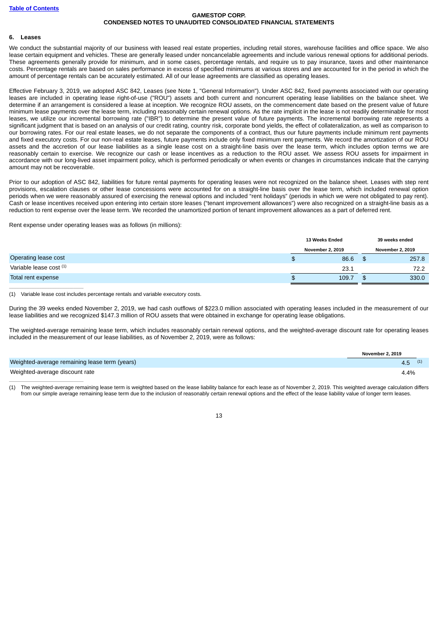## **6. Leases**

We conduct the substantial majority of our business with leased real estate properties, including retail stores, warehouse facilities and office space. We also lease certain equipment and vehicles. These are generally leased under noncancelable agreements and include various renewal options for additional periods. These agreements generally provide for minimum, and in some cases, percentage rentals, and require us to pay insurance, taxes and other maintenance costs. Percentage rentals are based on sales performance in excess of specified minimums at various stores and are accounted for in the period in which the amount of percentage rentals can be accurately estimated. All of our lease agreements are classified as operating leases.

Effective February 3, 2019, we adopted ASC 842, Leases (see Note 1, "General Information"). Under ASC 842, fixed payments associated with our operating leases are included in operating lease right-of-use ("ROU") assets and both current and noncurrent operating lease liabilities on the balance sheet. We determine if an arrangement is considered a lease at inception. We recognize ROU assets, on the commencement date based on the present value of future minimum lease payments over the lease term, including reasonably certain renewal options. As the rate implicit in the lease is not readily determinable for most leases, we utilize our incremental borrowing rate ("IBR") to determine the present value of future payments. The incremental borrowing rate represents a significant judgment that is based on an analysis of our credit rating, country risk, corporate bond yields, the effect of collateralization, as well as comparison to our borrowing rates. For our real estate leases, we do not separate the components of a contract, thus our future payments include minimum rent payments and fixed executory costs. For our non-real estate leases, future payments include only fixed minimum rent payments. We record the amortization of our ROU assets and the accretion of our lease liabilities as a single lease cost on a straight-line basis over the lease term, which includes option terms we are reasonably certain to exercise. We recognize our cash or lease incentives as a reduction to the ROU asset. We assess ROU assets for impairment in accordance with our long-lived asset impairment policy, which is performed periodically or when events or changes in circumstances indicate that the carrying amount may not be recoverable.

Prior to our adoption of ASC 842, liabilities for future rental payments for operating leases were not recognized on the balance sheet. Leases with step rent provisions, escalation clauses or other lease concessions were accounted for on a straight-line basis over the lease term, which included renewal option periods when we were reasonably assured of exercising the renewal options and included "rent holidays" (periods in which we were not obligated to pay rent). Cash or lease incentives received upon entering into certain store leases ("tenant improvement allowances") were also recognized on a straight-line basis as a reduction to rent expense over the lease term. We recorded the unamortized portion of tenant improvement allowances as a part of deferred rent.

Rent expense under operating leases was as follows (in millions):

|                         | 13 Weeks Ended<br><b>November 2, 2019</b> |       |     | 39 weeks ended          |
|-------------------------|-------------------------------------------|-------|-----|-------------------------|
|                         |                                           |       |     | <b>November 2, 2019</b> |
| Operating lease cost    | ъ                                         | 86.6  | \$  | 257.8                   |
| Variable lease cost (1) |                                           | 23.1  |     | 72.2                    |
| Total rent expense      | £.                                        | 109.7 | \$. | 330.0                   |

(1) Variable lease cost includes percentage rentals and variable executory costs.

During the 39 weeks ended November 2, 2019, we had cash outflows of \$223.0 million associated with operating leases included in the measurement of our lease liabilities and we recognized \$147.3 million of ROU assets that were obtained in exchange for operating lease obligations.

The weighted-average remaining lease term, which includes reasonably certain renewal options, and the weighted-average discount rate for operating leases included in the measurement of our lease liabilities, as of November 2, 2019, were as follows:

|                                               | <b>November 2, 2019</b> |
|-----------------------------------------------|-------------------------|
| Weighted-average remaining lease term (years) |                         |
| Weighted-average discount rate                | 4.4%                    |

\_\_\_\_\_\_\_\_\_\_\_\_\_\_\_\_\_\_\_\_\_\_\_\_\_\_\_\_\_\_\_\_\_\_\_\_\_\_\_\_\_\_\_\_\_

\_\_\_\_\_\_\_\_\_\_\_\_\_\_\_\_\_\_\_\_\_\_\_\_\_\_\_\_\_\_\_\_\_\_\_\_\_\_\_\_\_\_\_\_\_

(1) The weighted-average remaining lease term is weighted based on the lease liability balance for each lease as of November 2, 2019. This weighted average calculation differs from our simple average remaining lease term due to the inclusion of reasonably certain renewal options and the effect of the lease liability value of longer term leases.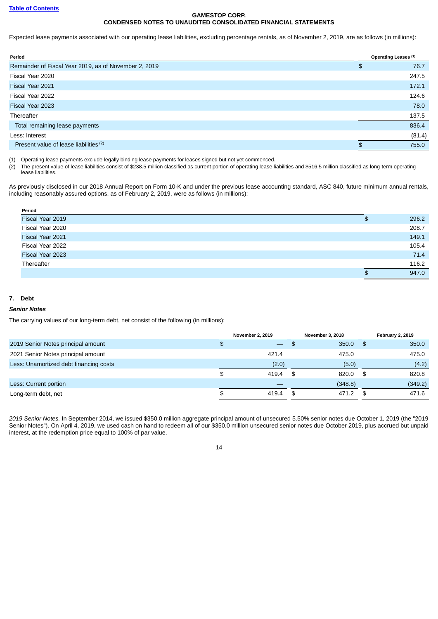Expected lease payments associated with our operating lease liabilities, excluding percentage rentals, as of November 2, 2019, are as follows (in millions):

| Period                                                | Operating Leases (1) |
|-------------------------------------------------------|----------------------|
| Remainder of Fiscal Year 2019, as of November 2, 2019 | \$<br>76.7           |
| Fiscal Year 2020                                      | 247.5                |
| Fiscal Year 2021                                      | 172.1                |
| Fiscal Year 2022                                      | 124.6                |
| Fiscal Year 2023                                      | 78.0                 |
| Thereafter                                            | 137.5                |
| Total remaining lease payments                        | 836.4                |
| Less: Interest                                        | (81.4)               |
| Present value of lease liabilities (2)                | 755.0                |

(1) Operating lease payments exclude legally binding lease payments for leases signed but not yet commenced.

(2) The present value of lease liabilities consist of \$238.5 million classified as current portion of operating lease liabilities and \$516.5 million classified as long-term operating lease liabilities.

As previously disclosed in our 2018 Annual Report on Form 10-K and under the previous lease accounting standard, ASC 840, future minimum annual rentals, including reasonably assured options, as of February 2, 2019, were as follows (in millions):

| Period           |    |       |
|------------------|----|-------|
| Fiscal Year 2019 | Ф  | 296.2 |
| Fiscal Year 2020 |    | 208.7 |
| Fiscal Year 2021 |    | 149.1 |
| Fiscal Year 2022 |    | 105.4 |
| Fiscal Year 2023 |    | 71.4  |
| Thereafter       |    | 116.2 |
|                  | \$ | 947.0 |

## **7. Debt**

#### *Senior Notes*

The carrying values of our long-term debt, net consist of the following (in millions):

|                                        |    | <b>November 2, 2019</b>  |  | <b>November 3, 2018</b> |             | <b>February 2, 2019</b> |
|----------------------------------------|----|--------------------------|--|-------------------------|-------------|-------------------------|
| 2019 Senior Notes principal amount     | \$ | $\overline{\phantom{0}}$ |  | 350.0                   | \$<br>350.0 |                         |
| 2021 Senior Notes principal amount     |    | 421.4                    |  | 475.0                   | 475.0       |                         |
| Less: Unamortized debt financing costs |    | (2.0)                    |  | (5.0)                   | (4.2)       |                         |
|                                        | \$ | 419.4                    |  | 820.0                   | \$<br>820.8 |                         |
| Less: Current portion                  |    | __                       |  | (348.8)                 | (349.2)     |                         |
| Long-term debt, net                    |    | 419.4                    |  | 471.2                   | 471.6       |                         |

*2019 Senior Notes.* In September 2014, we issued \$350.0 million aggregate principal amount of unsecured 5.50% senior notes due October 1, 2019 (the "2019 Senior Notes"). On April 4, 2019, we used cash on hand to redeem all of our \$350.0 million unsecured senior notes due October 2019, plus accrued but unpaid interest, at the redemption price equal to 100% of par value.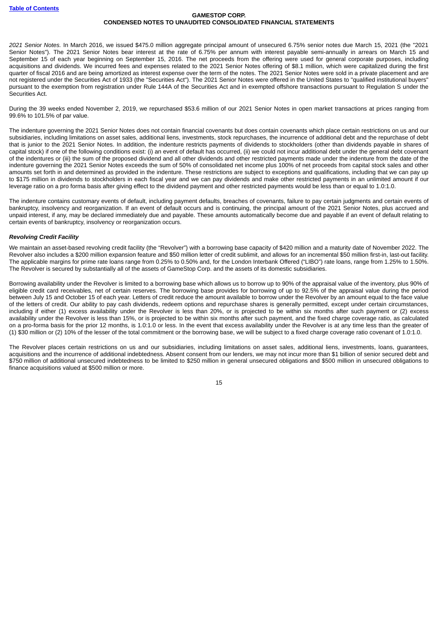*2021 Senior Notes.* In March 2016, we issued \$475.0 million aggregate principal amount of unsecured 6.75% senior notes due March 15, 2021 (the "2021 Senior Notes"). The 2021 Senior Notes bear interest at the rate of 6.75% per annum with interest payable semi-annually in arrears on March 15 and September 15 of each year beginning on September 15, 2016. The net proceeds from the offering were used for general corporate purposes, including acquisitions and dividends. We incurred fees and expenses related to the 2021 Senior Notes offering of \$8.1 million, which were capitalized during the first quarter of fiscal 2016 and are being amortized as interest expense over the term of the notes. The 2021 Senior Notes were sold in a private placement and are not registered under the Securities Act of 1933 (the "Securities Act"). The 2021 Senior Notes were offered in the United States to "qualified institutional buyers" pursuant to the exemption from registration under Rule 144A of the Securities Act and in exempted offshore transactions pursuant to Regulation S under the Securities Act.

During the 39 weeks ended November 2, 2019, we repurchased \$53.6 million of our 2021 Senior Notes in open market transactions at prices ranging from 99.6% to 101.5% of par value.

The indenture governing the 2021 Senior Notes does not contain financial covenants but does contain covenants which place certain restrictions on us and our subsidiaries, including limitations on asset sales, additional liens, investments, stock repurchases, the incurrence of additional debt and the repurchase of debt that is junior to the 2021 Senior Notes. In addition, the indenture restricts payments of dividends to stockholders (other than dividends payable in shares of capital stock) if one of the following conditions exist: (i) an event of default has occurred, (ii) we could not incur additional debt under the general debt covenant of the indentures or (iii) the sum of the proposed dividend and all other dividends and other restricted payments made under the indenture from the date of the indenture governing the 2021 Senior Notes exceeds the sum of 50% of consolidated net income plus 100% of net proceeds from capital stock sales and other amounts set forth in and determined as provided in the indenture. These restrictions are subject to exceptions and qualifications, including that we can pay up to \$175 million in dividends to stockholders in each fiscal year and we can pay dividends and make other restricted payments in an unlimited amount if our leverage ratio on a pro forma basis after giving effect to the dividend payment and other restricted payments would be less than or equal to 1.0:1.0.

The indenture contains customary events of default, including payment defaults, breaches of covenants, failure to pay certain judgments and certain events of bankruptcy, insolvency and reorganization. If an event of default occurs and is continuing, the principal amount of the 2021 Senior Notes, plus accrued and unpaid interest, if any, may be declared immediately due and payable. These amounts automatically become due and payable if an event of default relating to certain events of bankruptcy, insolvency or reorganization occurs.

#### *Revolving Credit Facility*

We maintain an asset-based revolving credit facility (the "Revolver") with a borrowing base capacity of \$420 million and a maturity date of November 2022. The Revolver also includes a \$200 million expansion feature and \$50 million letter of credit sublimit, and allows for an incremental \$50 million first-in, last-out facility. The applicable margins for prime rate loans range from 0.25% to 0.50% and, for the London Interbank Offered ("LIBO") rate loans, range from 1.25% to 1.50%. The Revolver is secured by substantially all of the assets of GameStop Corp. and the assets of its domestic subsidiaries.

Borrowing availability under the Revolver is limited to a borrowing base which allows us to borrow up to 90% of the appraisal value of the inventory, plus 90% of eligible credit card receivables, net of certain reserves. The borrowing base provides for borrowing of up to 92.5% of the appraisal value during the period between July 15 and October 15 of each year. Letters of credit reduce the amount available to borrow under the Revolver by an amount equal to the face value of the letters of credit. Our ability to pay cash dividends, redeem options and repurchase shares is generally permitted, except under certain circumstances, including if either (1) excess availability under the Revolver is less than 20%, or is projected to be within six months after such payment or (2) excess availability under the Revolver is less than 15%, or is projected to be within six months after such payment, and the fixed charge coverage ratio, as calculated on a pro-forma basis for the prior 12 months, is 1.0:1.0 or less. In the event that excess availability under the Revolver is at any time less than the greater of (1) \$30 million or (2) 10% of the lesser of the total commitment or the borrowing base, we will be subject to a fixed charge coverage ratio covenant of 1.0:1.0.

The Revolver places certain restrictions on us and our subsidiaries, including limitations on asset sales, additional liens, investments, loans, guarantees, acquisitions and the incurrence of additional indebtedness. Absent consent from our lenders, we may not incur more than \$1 billion of senior secured debt and \$750 million of additional unsecured indebtedness to be limited to \$250 million in general unsecured obligations and \$500 million in unsecured obligations to finance acquisitions valued at \$500 million or more.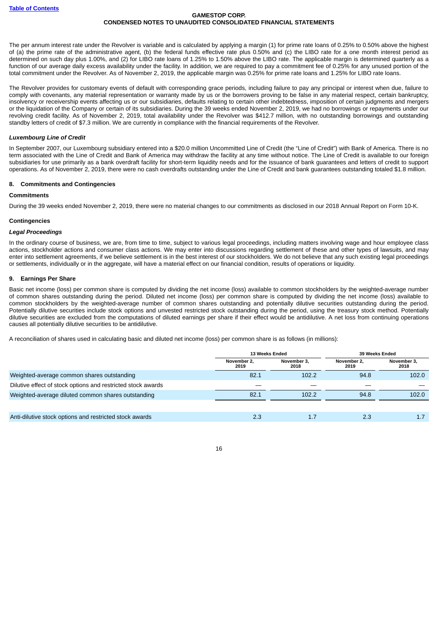The per annum interest rate under the Revolver is variable and is calculated by applying a margin (1) for prime rate loans of 0.25% to 0.50% above the highest of (a) the prime rate of the administrative agent, (b) the federal funds effective rate plus 0.50% and (c) the LIBO rate for a one month interest period as determined on such day plus 1.00%, and (2) for LIBO rate loans of 1.25% to 1.50% above the LIBO rate. The applicable margin is determined quarterly as a function of our average daily excess availability under the facility. In addition, we are required to pay a commitment fee of 0.25% for any unused portion of the total commitment under the Revolver. As of November 2, 2019, the applicable margin was 0.25% for prime rate loans and 1.25% for LIBO rate loans.

The Revolver provides for customary events of default with corresponding grace periods, including failure to pay any principal or interest when due, failure to comply with covenants, any material representation or warranty made by us or the borrowers proving to be false in any material respect, certain bankruptcy, insolvency or receivership events affecting us or our subsidiaries, defaults relating to certain other indebtedness, imposition of certain judgments and mergers or the liquidation of the Company or certain of its subsidiaries. During the 39 weeks ended November 2, 2019, we had no borrowings or repayments under our revolving credit facility. As of November 2, 2019, total availability under the Revolver was \$412.7 million, with no outstanding borrowings and outstanding standby letters of credit of \$7.3 million. We are currently in compliance with the financial requirements of the Revolver.

#### *Luxembourg Line of Credit*

In September 2007, our Luxembourg subsidiary entered into a \$20.0 million Uncommitted Line of Credit (the "Line of Credit") with Bank of America. There is no term associated with the Line of Credit and Bank of America may withdraw the facility at any time without notice. The Line of Credit is available to our foreign subsidiaries for use primarily as a bank overdraft facility for short-term liquidity needs and for the issuance of bank guarantees and letters of credit to support operations. As of November 2, 2019, there were no cash overdrafts outstanding under the Line of Credit and bank guarantees outstanding totaled \$1.8 million.

#### **8. Commitments and Contingencies**

#### **Commitments**

During the 39 weeks ended November 2, 2019, there were no material changes to our commitments as disclosed in our 2018 Annual Report on Form 10-K.

#### **Contingencies**

#### *Legal Proceedings*

In the ordinary course of business, we are, from time to time, subject to various legal proceedings, including matters involving wage and hour employee class actions, stockholder actions and consumer class actions. We may enter into discussions regarding settlement of these and other types of lawsuits, and may enter into settlement agreements, if we believe settlement is in the best interest of our stockholders. We do not believe that any such existing legal proceedings or settlements, individually or in the aggregate, will have a material effect on our financial condition, results of operations or liquidity.

#### **9. Earnings Per Share**

Basic net income (loss) per common share is computed by dividing the net income (loss) available to common stockholders by the weighted-average number of common shares outstanding during the period. Diluted net income (loss) per common share is computed by dividing the net income (loss) available to common stockholders by the weighted-average number of common shares outstanding and potentially dilutive securities outstanding during the period. Potentially dilutive securities include stock options and unvested restricted stock outstanding during the period, using the treasury stock method. Potentially dilutive securities are excluded from the computations of diluted earnings per share if their effect would be antidilutive. A net loss from continuing operations causes all potentially dilutive securities to be antidilutive.

A reconciliation of shares used in calculating basic and diluted net income (loss) per common share is as follows (in millions):

|                                                              | 13 Weeks Ended      |                     | 39 Weeks Ended      |                     |  |  |
|--------------------------------------------------------------|---------------------|---------------------|---------------------|---------------------|--|--|
|                                                              | November 2.<br>2019 | November 3.<br>2018 | November 2.<br>2019 | November 3,<br>2018 |  |  |
| Weighted-average common shares outstanding                   | 82.1                | 102.2               | 94.8                | 102.0               |  |  |
| Dilutive effect of stock options and restricted stock awards |                     |                     |                     |                     |  |  |
| Weighted-average diluted common shares outstanding           | 82.1                | 102.2               | 94.8                | 102.0               |  |  |
|                                                              |                     |                     |                     |                     |  |  |
| Anti-dilutive stock options and restricted stock awards      | 2.3                 | 1.7                 | 2.3                 | 1.7                 |  |  |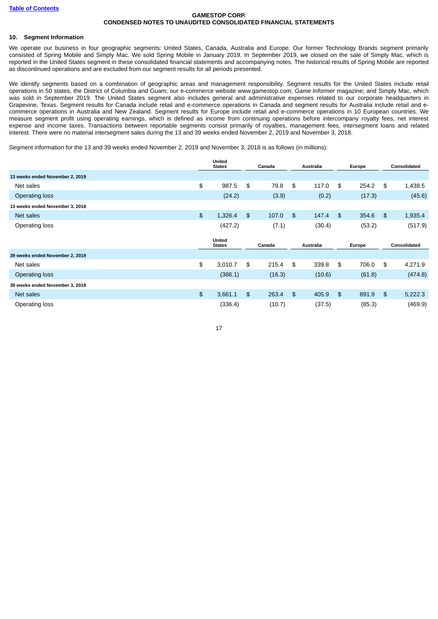#### **10. Segment Information**

We operate our business in four geographic segments: United States, Canada, Australia and Europe, Our former Technology Brands segment primarily consisted of Spring Mobile and Simply Mac. We sold Spring Mobile in January 2019. In September 2019, we closed on the sale of Simply Mac, which is reported in the United States segment in these consolidated financial statements and accompanying notes. The historical results of Spring Mobile are reported as discontinued operations and are excluded from our segment results for all periods presented.

We identify segments based on a combination of geographic areas and management responsibility. Segment results for the United States include retail operations in 50 states, the District of Columbia and Guam; our e-commerce website www.gamestop.com; *Game Informer* magazine; and Simply Mac, which was sold in September 2019. The United States segment also includes general and administrative expenses related to our corporate headquarters in Grapevine, Texas. Segment results for Canada include retail and e-commerce operations in Canada and segment results for Australia include retail and ecommerce operations in Australia and New Zealand. Segment results for Europe include retail and e-commerce operations in 10 European countries. We measure segment profit using operating earnings, which is defined as income from continuing operations before intercompany royalty fees, net interest expense and income taxes. Transactions between reportable segments consist primarily of royalties, management fees, intersegment loans and related interest. There were no material intersegment sales during the 13 and 39 weeks ended November 2, 2019 and November 3, 2018.

Segment information for the 13 and 39 weeks ended November 2, 2019 and November 3, 2018 is as follows (in millions):

|                                 |               | <b>United</b><br><b>States</b> | Canada         |        | Australia |           | Europe |        | <b>Consolidated</b> |              |
|---------------------------------|---------------|--------------------------------|----------------|--------|-----------|-----------|--------|--------|---------------------|--------------|
| 13 weeks ended November 2, 2019 |               |                                |                |        |           |           |        |        |                     |              |
| Net sales                       | \$            | 987.5                          | \$             | 79.8   | \$        | 117.0     | \$     | 254.2  | \$                  | 1,438.5      |
| <b>Operating loss</b>           |               | (24.2)                         |                | (3.9)  |           | (0.2)     |        | (17.3) |                     | (45.6)       |
| 13 weeks ended November 3, 2018 |               |                                |                |        |           |           |        |        |                     |              |
| Net sales                       | $\frac{2}{3}$ | 1,326.4                        | $\mathfrak{L}$ | 107.0  | \$        | 147.4     | \$     | 354.6  | $\mathfrak{L}$      | 1,935.4      |
| Operating loss                  |               | (427.2)                        |                | (7.1)  |           | (30.4)    |        | (53.2) |                     | (517.9)      |
|                                 |               | <b>United</b><br><b>States</b> |                | Canada |           | Australia |        | Europe |                     | Consolidated |
| 39 weeks ended November 2, 2019 |               |                                |                |        |           |           |        |        |                     |              |
| Net sales                       | \$            | 3,010.7                        | \$             | 215.4  | \$        | 339.8     | \$     | 706.0  | \$                  | 4,271.9      |
| <b>Operating loss</b>           |               | (386.1)                        |                | (16.3) |           | (10.6)    |        | (61.8) |                     | (474.8)      |
| 39 weeks ended November 3, 2018 |               |                                |                |        |           |           |        |        |                     |              |
| Net sales                       | $\frac{2}{3}$ | 3,661.1                        | \$             | 263.4  | \$        | 405.9     | \$     | 891.9  | $\mathfrak{L}$      | 5,222.3      |
| Operating loss                  |               | (336.4)                        |                | (10.7) |           | (37.5)    |        | (85.3) |                     | (469.9)      |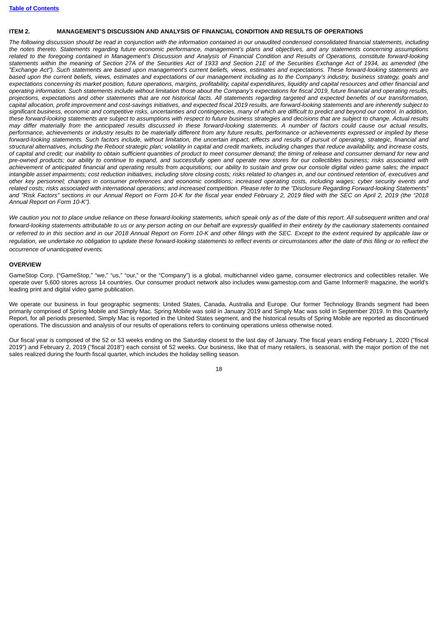#### <span id="page-19-0"></span>**ITEM 2. MANAGEMENT'S DISCUSSION AND ANALYSIS OF FINANCIAL CONDITION AND RESULTS OF OPERATIONS**

*The following discussion should be read in conjunction with the information contained in our unaudited condensed consolidated financial statements, including the notes thereto. Statements regarding future economic performance, management's plans and objectives, and any statements concerning assumptions related to the foregoing contained in Management's Discussion and Analysis of Financial Condition and Results of Operations, constitute forward-looking statements within the meaning of Section 27A of the Securities Act of 1933 and Section 21E of the Securities Exchange Act of 1934, as amended (the "Exchange Act"). Such statements are based upon management's current beliefs, views, estimates and expectations. These forward-looking statements are based upon the current beliefs, views, estimates and expectations of our management including as to the Company's industry, business strategy, goals and expectations concerning its market position, future operations, margins, profitability, capital expenditures, liquidity and capital resources and other financial and operating information. Such statements include without limitation those about the Company's expectations for fiscal 2019, future financial and operating results, projections, expectations and other statements that are not historical facts. All statements regarding targeted and expected benefits of our transformation, capital allocation, profit improvement and cost-savings initiatives, and expected fiscal 2019 results, are forward-looking statements and are inherently subject to significant business, economic and competitive risks, uncertainties and contingencies, many of which are difficult to predict and beyond our control. In addition, these forward-looking statements are subject to assumptions with respect to future business strategies and decisions that are subject to change. Actual results may differ materially from the anticipated results discussed in these forward-looking statements. A number of factors could cause our actual results, performance, achievements or industry results to be materially different from any future results, performance or achievements expressed or implied by these forward-looking statements. Such factors include, without limitation, the uncertain impact, effects and results of pursuit of operating, strategic, financial and structural alternatives, including the Reboot strategic plan; volatility in capital and credit markets, including changes that reduce availability, and increase costs, of capital and credit; our inability to obtain sufficient quantities of product to meet consumer demand; the timing of release and consumer demand for new and pre-owned products; our ability to continue to expand, and successfully open and operate new stores for our collectibles business; risks associated with achievement of anticipated financial and operating results from acquisitions; our ability to sustain and grow our console digital video game sales; the impact intangible asset impairments; cost reduction initiatives, including store closing costs; risks related to changes in, and our continued retention of, executives and other key personnel; changes in consumer preferences and economic conditions; increased operating costs, including wages; cyber security events and related costs; risks associated with international operations; and increased competition. Please refer to the "Disclosure Regarding Forward-looking Statements" and "Risk Factors" sections in our Annual Report on Form 10-K for the fiscal year ended February 2, 2019 filed with the SEC on April 2, 2019 (the "2018 Annual Report on Form 10-K").*

*We caution you not to place undue reliance on these forward-looking statements, which speak only as of the date of this report. All subsequent written and oral forward-looking statements attributable to us or any person acting on our behalf are expressly qualified in their entirety by the cautionary statements contained or referred to in this section and in our 2018 Annual Report on Form 10-K and other filings with the SEC. Except to the extent required by applicable law or regulation, we undertake no obligation to update these forward-looking statements to reflect events or circumstances after the date of this filing or to reflect the occurrence of unanticipated events.*

#### **OVERVIEW**

GameStop Corp. ("GameStop," "we," "us," "our," or the "Company") is a global, multichannel video game, consumer electronics and collectibles retailer. We operate over 5,600 stores across 14 countries. Our consumer product network also includes www.gamestop.com and Game Informer® magazine, the world's leading print and digital video game publication.

We operate our business in four geographic segments: United States, Canada, Australia and Europe. Our former Technology Brands segment had been primarily comprised of Spring Mobile and Simply Mac. Spring Mobile was sold in January 2019 and Simply Mac was sold in September 2019. In this Quarterly Report, for all periods presented, Simply Mac is reported in the United States segment, and the historical results of Spring Mobile are reported as discontinued operations. The discussion and analysis of our results of operations refers to continuing operations unless otherwise noted.

Our fiscal year is composed of the 52 or 53 weeks ending on the Saturday closest to the last day of January. The fiscal years ending February 1, 2020 ("fiscal 2019") and February 2, 2019 ("fiscal 2018") each consist of 52 weeks. Our business, like that of many retailers, is seasonal, with the major portion of the net sales realized during the fourth fiscal quarter, which includes the holiday selling season.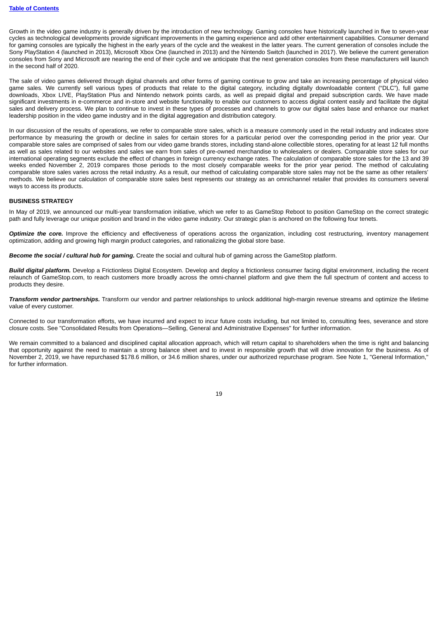Growth in the video game industry is generally driven by the introduction of new technology. Gaming consoles have historically launched in five to seven-year cycles as technological developments provide significant improvements in the gaming experience and add other entertainment capabilities. Consumer demand for gaming consoles are typically the highest in the early years of the cycle and the weakest in the latter years. The current generation of consoles include the Sony PlayStation 4 (launched in 2013), Microsoft Xbox One (launched in 2013) and the Nintendo Switch (launched in 2017). We believe the current generation consoles from Sony and Microsoft are nearing the end of their cycle and we anticipate that the next generation consoles from these manufacturers will launch in the second half of 2020.

The sale of video games delivered through digital channels and other forms of gaming continue to grow and take an increasing percentage of physical video game sales. We currently sell various types of products that relate to the digital category, including digitally downloadable content ("DLC"), full game downloads, Xbox LIVE, PlayStation Plus and Nintendo network points cards, as well as prepaid digital and prepaid subscription cards. We have made significant investments in e-commerce and in-store and website functionality to enable our customers to access digital content easily and facilitate the digital sales and delivery process. We plan to continue to invest in these types of processes and channels to grow our digital sales base and enhance our market leadership position in the video game industry and in the digital aggregation and distribution category.

In our discussion of the results of operations, we refer to comparable store sales, which is a measure commonly used in the retail industry and indicates store performance by measuring the growth or decline in sales for certain stores for a particular period over the corresponding period in the prior year. Our comparable store sales are comprised of sales from our video game brands stores, including stand-alone collectible stores, operating for at least 12 full months as well as sales related to our websites and sales we earn from sales of pre-owned merchandise to wholesalers or dealers. Comparable store sales for our international operating segments exclude the effect of changes in foreign currency exchange rates. The calculation of comparable store sales for the 13 and 39 weeks ended November 2, 2019 compares those periods to the most closely comparable weeks for the prior year period. The method of calculating comparable store sales varies across the retail industry. As a result, our method of calculating comparable store sales may not be the same as other retailers' methods. We believe our calculation of comparable store sales best represents our strategy as an omnichannel retailer that provides its consumers several ways to access its products.

#### **BUSINESS STRATEGY**

In May of 2019, we announced our multi-year transformation initiative, which we refer to as GameStop Reboot to position GameStop on the correct strategic path and fully leverage our unique position and brand in the video game industry. Our strategic plan is anchored on the following four tenets.

*Optimize the core.* Improve the efficiency and effectiveness of operations across the organization, including cost restructuring, inventory management optimization, adding and growing high margin product categories, and rationalizing the global store base.

*Become the social / cultural hub for gaming.* Create the social and cultural hub of gaming across the GameStop platform.

**Build digital platform.** Develop a Frictionless Digital Ecosystem. Develop and deploy a frictionless consumer facing digital environment, including the recent relaunch of GameStop.com, to reach customers more broadly across the omni-channel platform and give them the full spectrum of content and access to products they desire.

*Transform vendor partnerships.* Transform our vendor and partner relationships to unlock additional high-margin revenue streams and optimize the lifetime value of every customer.

Connected to our transformation efforts, we have incurred and expect to incur future costs including, but not limited to, consulting fees, severance and store closure costs. See "Consolidated Results from Operations—Selling, General and Administrative Expenses" for further information.

We remain committed to a balanced and disciplined capital allocation approach, which will return capital to shareholders when the time is right and balancing that opportunity against the need to maintain a strong balance sheet and to invest in responsible growth that will drive innovation for the business. As of November 2, 2019, we have repurchased \$178.6 million, or 34.6 million shares, under our authorized repurchase program. See Note 1, "General Information," for further information.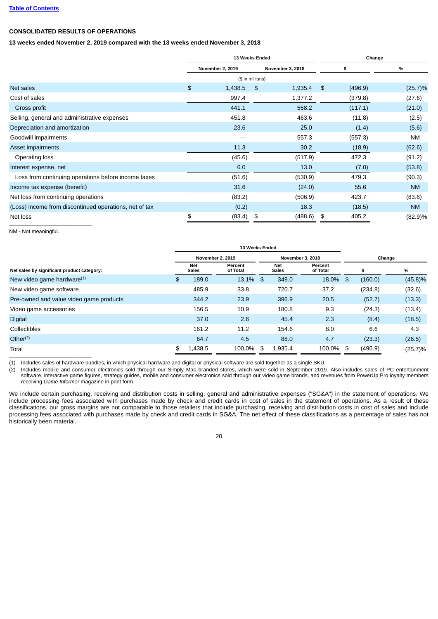## **CONSOLIDATED RESULTS OF OPERATIONS**

**13 weeks ended November 2, 2019 compared with the 13 weeks ended November 3, 2018**

|                                                        |                         | 13 Weeks Ended   |                         | Change        |            |  |  |  |
|--------------------------------------------------------|-------------------------|------------------|-------------------------|---------------|------------|--|--|--|
|                                                        | <b>November 2, 2019</b> |                  | <b>November 3, 2018</b> | \$            | %          |  |  |  |
|                                                        |                         | (\$ in millions) |                         |               |            |  |  |  |
| Net sales                                              | \$                      | 1,438.5          | \$<br>1,935.4           | \$<br>(496.9) | $(25.7)\%$ |  |  |  |
| Cost of sales                                          |                         | 997.4            | 1,377.2                 | (379.8)       | (27.6)     |  |  |  |
| Gross profit                                           |                         | 441.1            | 558.2                   | (117.1)       | (21.0)     |  |  |  |
| Selling, general and administrative expenses           |                         | 451.8            | 463.6                   | (11.8)        | (2.5)      |  |  |  |
| Depreciation and amortization                          |                         | 23.6             | 25.0                    | (1.4)         | (5.6)      |  |  |  |
| Goodwill impairments                                   |                         |                  | 557.3                   | (557.3)       | <b>NM</b>  |  |  |  |
| Asset impairments                                      |                         | 11.3             | 30.2                    | (18.9)        | (62.6)     |  |  |  |
| Operating loss                                         |                         | (45.6)           | (517.9)                 | 472.3         | (91.2)     |  |  |  |
| Interest expense, net                                  |                         | 6.0              | 13.0                    | (7.0)         | (53.8)     |  |  |  |
| Loss from continuing operations before income taxes    |                         | (51.6)           | (530.9)                 | 479.3         | (90.3)     |  |  |  |
| Income tax expense (benefit)                           |                         | 31.6             | (24.0)                  | 55.6          | <b>NM</b>  |  |  |  |
| Net loss from continuing operations                    |                         | (83.2)           | (506.9)                 | 423.7         | (83.6)     |  |  |  |
| (Loss) income from discontinued operations, net of tax |                         | (0.2)            | 18.3                    | (18.5)        | <b>NM</b>  |  |  |  |
| Net loss                                               |                         | (83.4)           | \$<br>(488.6)           | \$<br>405.2   | $(82.9)\%$ |  |  |  |

NM - Not meaningful.

 $\mathcal{L}_\text{max}$  and the contract of the contract of the contract of the contract of the contract of the contract of the contract of the contract of the contract of the contract of the contract of the contract of the contrac

|                                            |                     | 13 Weeks Ended      |                            |                         |        |         |            |
|--------------------------------------------|---------------------|---------------------|----------------------------|-------------------------|--------|---------|------------|
|                                            |                     | November 2, 2019    |                            | <b>November 3, 2018</b> | Change |         |            |
| Net sales by significant product category: | Net<br><b>Sales</b> | Percent<br>of Total | <b>Net</b><br><b>Sales</b> | Percent<br>of Total     |        |         | %          |
| New video game hardware $(1)$              | \$<br>189.0         | 13.1%               | \$<br>349.0                | 18.0%                   | \$     | (160.0) | $(45.8)\%$ |
| New video game software                    | 485.9               | 33.8                | 720.7                      | 37.2                    |        | (234.8) | (32.6)     |
| Pre-owned and value video game products    | 344.2               | 23.9                | 396.9                      | 20.5                    |        | (52.7)  | (13.3)     |
| Video game accessories                     | 156.5               | 10.9                | 180.8                      | 9.3                     |        | (24.3)  | (13.4)     |
| <b>Digital</b>                             | 37.0                | 2.6                 | 45.4                       | 2.3                     |        | (8.4)   | (18.5)     |
| Collectibles                               | 161.2               | 11.2                | 154.6                      | 8.0                     |        | 6.6     | 4.3        |
| Other <sup>(2)</sup>                       | 64.7                | 4.5                 | 88.0                       | 4.7                     |        | (23.3)  | (26.5)     |
| Total                                      | \$<br>1,438.5       | 100.0%              | \$<br>1,935.4              | 100.0%                  | \$     | (496.9) | $(25.7)\%$ |

(1) Includes sales of hardware bundles, in which physical hardware and digital or physical software are sold together as a single SKU.

(2) Includes mobile and consumer electronics sold through our Simply Mac branded stores, which were sold in September 2019. Also includes sales of PC entertainment software, interactive game figures, strategy guides, mobile and consumer electronics sold through our video game brands, and revenues from PowerUp Pro loyalty members receiving *Game Informer* magazine in print form.

We include certain purchasing, receiving and distribution costs in selling, general and administrative expenses ("SG&A") in the statement of operations. We include processing fees associated with purchases made by check and credit cards in cost of sales in the statement of operations. As a result of these classifications, our gross margins are not comparable to those retailers that include purchasing, receiving and distribution costs in cost of sales and include processing fees associated with purchases made by check and credit cards in SG&A. The net effect of these classifications as a percentage of sales has not historically been material.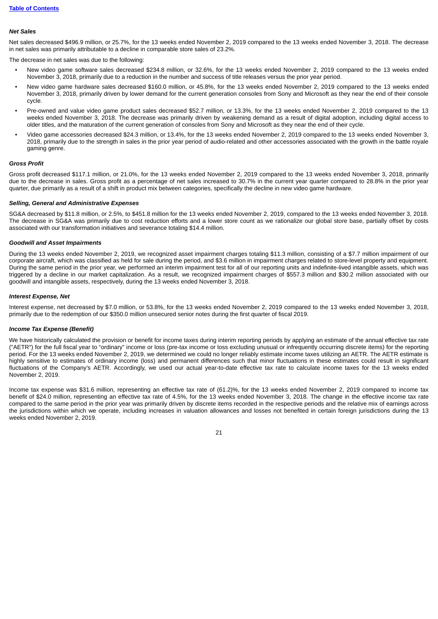#### *Net Sales*

Net sales decreased \$496.9 million, or 25.7%, for the 13 weeks ended November 2, 2019 compared to the 13 weeks ended November 3, 2018. The decrease in net sales was primarily attributable to a decline in comparable store sales of 23.2%.

The decrease in net sales was due to the following:

- New video game software sales decreased \$234.8 million, or 32.6%, for the 13 weeks ended November 2, 2019 compared to the 13 weeks ended November 3, 2018, primarily due to a reduction in the number and success of title releases versus the prior year period.
- New video game hardware sales decreased \$160.0 million, or 45.8%, for the 13 weeks ended November 2, 2019 compared to the 13 weeks ended November 3, 2018, primarily driven by lower demand for the current generation consoles from Sony and Microsoft as they near the end of their console cycle.
- Pre-owned and value video game product sales decreased \$52.7 million, or 13.3%, for the 13 weeks ended November 2, 2019 compared to the 13 weeks ended November 3, 2018. The decrease was primarily driven by weakening demand as a result of digital adoption, including digital access to older titles, and the maturation of the current generation of consoles from Sony and Microsoft as they near the end of their cycle.
- Video game accessories decreased \$24.3 million, or 13.4%, for the 13 weeks ended November 2, 2019 compared to the 13 weeks ended November 3, 2018, primarily due to the strength in sales in the prior year period of audio-related and other accessories associated with the growth in the battle royale gaming genre.

#### *Gross Profit*

Gross profit decreased \$117.1 million, or 21.0%, for the 13 weeks ended November 2, 2019 compared to the 13 weeks ended November 3, 2018, primarily due to the decrease in sales. Gross profit as a percentage of net sales increased to 30.7% in the current year quarter compared to 28.8% in the prior year quarter, due primarily as a result of a shift in product mix between categories, specifically the decline in new video game hardware.

#### *Selling, General and Administrative Expenses*

SG&A decreased by \$11.8 million, or 2.5%, to \$451.8 million for the 13 weeks ended November 2, 2019, compared to the 13 weeks ended November 3, 2018. The decrease in SG&A was primarily due to cost reduction efforts and a lower store count as we rationalize our global store base, partially offset by costs associated with our transformation initiatives and severance totaling \$14.4 million.

#### *Goodwill and Asset Impairments*

During the 13 weeks ended November 2, 2019, we recognized asset impairment charges totaling \$11.3 million, consisting of a \$7.7 million impairment of our corporate aircraft, which was classified as held for sale during the period, and \$3.6 million in impairment charges related to store-level property and equipment. During the same period in the prior year, we performed an interim impairment test for all of our reporting units and indefinite-lived intangible assets, which was triggered by a decline in our market capitalization. As a result, we recognized impairment charges of \$557.3 million and \$30.2 million associated with our goodwill and intangible assets, respectively, during the 13 weeks ended November 3, 2018.

#### *Interest Expense, Net*

Interest expense, net decreased by \$7.0 million, or 53.8%, for the 13 weeks ended November 2, 2019 compared to the 13 weeks ended November 3, 2018, primarily due to the redemption of our \$350.0 million unsecured senior notes during the first quarter of fiscal 2019.

#### *Income Tax Expense (Benefit)*

We have historically calculated the provision or benefit for income taxes during interim reporting periods by applying an estimate of the annual effective tax rate ("AETR") for the full fiscal year to "ordinary" income or loss (pre-tax income or loss excluding unusual or infrequently occurring discrete items) for the reporting period. For the 13 weeks ended November 2, 2019, we determined we could no longer reliably estimate income taxes utilizing an AETR. The AETR estimate is highly sensitive to estimates of ordinary income (loss) and permanent differences such that minor fluctuations in these estimates could result in significant fluctuations of the Company's AETR. Accordingly, we used our actual year-to-date effective tax rate to calculate income taxes for the 13 weeks ended November 2, 2019.

Income tax expense was \$31.6 million, representing an effective tax rate of (61.2)%, for the 13 weeks ended November 2, 2019 compared to income tax benefit of \$24.0 million, representing an effective tax rate of 4.5%, for the 13 weeks ended November 3, 2018. The change in the effective income tax rate compared to the same period in the prior year was primarily driven by discrete items recorded in the respective periods and the relative mix of earnings across the jurisdictions within which we operate, including increases in valuation allowances and losses not benefited in certain foreign jurisdictions during the 13 weeks ended November 2, 2019.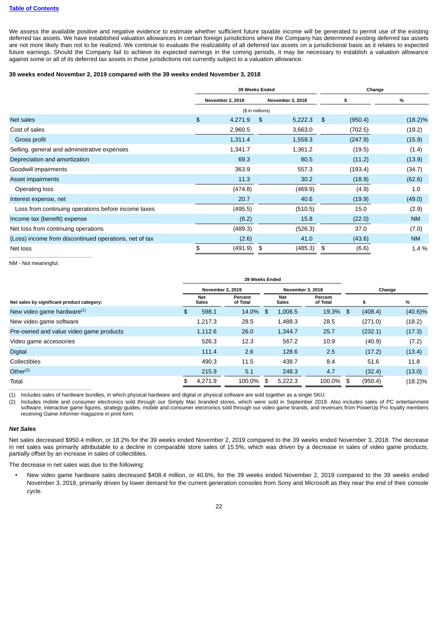We assess the available positive and negative evidence to estimate whether sufficient future taxable income will be generated to permit use of the existing deferred tax assets. We have established valuation allowances in certain foreign jurisdictions where the Company has determined existing deferred tax assets are not more likely than not to be realized. We continue to evaluate the realizability of all deferred tax assets on a jurisdictional basis as it relates to expected future earnings. Should the Company fail to achieve its expected earnings in the coming periods, it may be necessary to establish a valuation allowance against some or all of its deferred tax assets in those jurisdictions not currently subject to a valuation allowance.

#### **39 weeks ended November 2, 2019 compared with the 39 weeks ended November 3, 2018**

|                                                        |                         | 39 Weeks Ended          | Change        |            |  |  |  |
|--------------------------------------------------------|-------------------------|-------------------------|---------------|------------|--|--|--|
|                                                        | <b>November 2, 2019</b> | <b>November 3, 2018</b> | \$            | %          |  |  |  |
|                                                        |                         | (\$ in millions)        |               |            |  |  |  |
| Net sales                                              | \$<br>4,271.9           | 5,222.3<br>\$           | \$<br>(950.4) | $(18.2)\%$ |  |  |  |
| Cost of sales                                          | 2,960.5                 | 3,663.0                 | (702.5)       | (19.2)     |  |  |  |
| Gross profit                                           | 1,311.4                 | 1,559.3                 | (247.9)       | (15.9)     |  |  |  |
| Selling, general and administrative expenses           | 1,341.7                 | 1,361.2                 | (19.5)        | (1.4)      |  |  |  |
| Depreciation and amortization                          | 69.3                    | 80.5                    | (11.2)        | (13.9)     |  |  |  |
| Goodwill impairments                                   | 363.9                   | 557.3                   | (193.4)       | (34.7)     |  |  |  |
| Asset impairments                                      | 11.3                    | 30.2                    | (18.9)        | (62.6)     |  |  |  |
| Operating loss                                         | (474.8)                 | (469.9)                 | (4.9)         | 1.0        |  |  |  |
| Interest expense, net                                  | 20.7                    | 40.6                    | (19.9)        | (49.0)     |  |  |  |
| Loss from continuing operations before income taxes    | (495.5)                 | (510.5)                 | 15.0          | (2.9)      |  |  |  |
| Income tax (benefit) expense                           | (6.2)                   | 15.8                    | (22.0)        | <b>NM</b>  |  |  |  |
| Net loss from continuing operations                    | (489.3)                 | (526.3)                 | 37.0          | (7.0)      |  |  |  |
| (Loss) income from discontinued operations, net of tax | (2.6)                   | 41.0                    | (43.6)        | <b>NM</b>  |  |  |  |
| Net loss                                               | \$<br>(491.9)           | (485.3)<br>\$           | \$<br>(6.6)   | 1.4 %      |  |  |  |

NM - Not meaningful.

 $\mathcal{L}_\text{max}$  and the contract of the contract of the contract of the contract of the contract of the contract of the contract of the contract of the contract of the contract of the contract of the contract of the contrac

|                                            |     |                         | 39 Weeks Ended      |                         |                     |        |         |            |  |
|--------------------------------------------|-----|-------------------------|---------------------|-------------------------|---------------------|--------|---------|------------|--|
|                                            |     | <b>November 2, 2019</b> |                     | <b>November 3, 2018</b> |                     | Change |         |            |  |
| Net sales by significant product category: |     | <b>Net</b><br>Sales     | Percent<br>of Total | <b>Net</b><br>Sales     | Percent<br>of Total |        | £.      | %          |  |
| New video game hardware $(1)$              | \$  | 598.1                   | 14.0%               | \$<br>1,006.5           | 19.3%               | \$     | (408.4) | $(40.6)\%$ |  |
| New video game software                    |     | 1,217.3                 | 28.5                | 1,488.3                 | 28.5                |        | (271.0) | (18.2)     |  |
| Pre-owned and value video game products    |     | 1,112.6                 | 26.0                | 1,344.7                 | 25.7                |        | (232.1) | (17.3)     |  |
| Video game accessories                     |     | 526.3                   | 12.3                | 567.2                   | 10.9                |        | (40.9)  | (7.2)      |  |
| <b>Digital</b>                             |     | 111.4                   | 2.6                 | 128.6                   | 2.5                 |        | (17.2)  | (13.4)     |  |
| Collectibles                               |     | 490.3                   | 11.5                | 438.7                   | 8.4                 |        | 51.6    | 11.8       |  |
| Other <sup>(2)</sup>                       |     | 215.9                   | 5.1                 | 248.3                   | 4.7                 |        | (32.4)  | (13.0)     |  |
| Total                                      | \$. | 4,271.9                 | 100.0%              | \$<br>5,222.3           | 100.0%              | \$     | (950.4) | $(18.2)\%$ |  |

(1) Includes sales of hardware bundles, in which physical hardware and digital or physical software are sold together as a single SKU.

(2) Includes mobile and consumer electronics sold through our Simply Mac branded stores, which were sold in September 2019. Also includes sales of PC entertainment software, interactive game figures, strategy guides, mobile and consumer electronics sold through our video game brands, and revenues from PowerUp Pro loyalty members receiving *Game Informer* magazine in print form.

#### *Net Sales*

Net sales decreased \$950.4 million, or 18.2% for the 39 weeks ended November 2, 2019 compared to the 39 weeks ended November 3, 2018. The decrease in net sales was primarily attributable to a decline in comparable store sales of 15.5%, which was driven by a decrease in sales of video game products, partially offset by an increase in sales of collectibles.

The decrease in net sales was due to the following:

• New video game hardware sales decreased \$408.4 million, or 40.6%, for the 39 weeks ended November 2, 2019 compared to the 39 weeks ended November 3, 2018, primarily driven by lower demand for the current generation consoles from Sony and Microsoft as they near the end of their console cycle.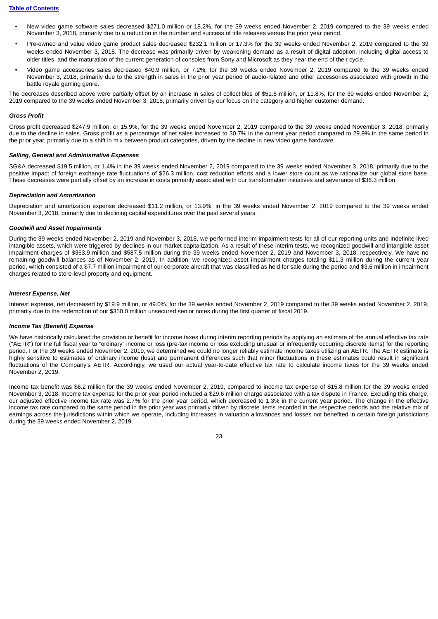#### **[Table of Contents](#page-1-0)**

- New video game software sales decreased \$271.0 million or 18.2%, for the 39 weeks ended November 2, 2019 compared to the 39 weeks ended November 3, 2018, primarily due to a reduction in the number and success of title releases versus the prior year period.
- Pre-owned and value video game product sales decreased \$232.1 million or 17.3% for the 39 weeks ended November 2, 2019 compared to the 39 weeks ended November 3, 2018. The decrease was primarily driven by weakening demand as a result of digital adoption, including digital access to older titles, and the maturation of the current generation of consoles from Sony and Microsoft as they near the end of their cycle.
- Video game accessories sales decreased \$40.9 million, or 7.2%, for the 39 weeks ended November 2, 2019 compared to the 39 weeks ended November 3, 2018, primarily due to the strength in sales in the prior year period of audio-related and other accessories associated with growth in the battle royale gaming genre.

The decreases described above were partially offset by an increase in sales of collectibles of \$51.6 million, or 11.8%, for the 39 weeks ended November 2, 2019 compared to the 39 weeks ended November 3, 2018, primarily driven by our focus on the category and higher customer demand.

#### *Gross Profit*

Gross profit decreased \$247.9 million, or 15.9%, for the 39 weeks ended November 2, 2019 compared to the 39 weeks ended November 3, 2018, primarily due to the decline in sales. Gross profit as a percentage of net sales increased to 30.7% in the current year period compared to 29.9% in the same period in the prior year, primarily due to a shift in mix between product categories, driven by the decline in new video game hardware.

#### *Selling, General and Administrative Expenses*

SG&A decreased \$19.5 million, or 1.4% in the 39 weeks ended November 2, 2019 compared to the 39 weeks ended November 3, 2018, primarily due to the positive impact of foreign exchange rate fluctuations of \$26.3 million, cost reduction efforts and a lower store count as we rationalize our global store base. These decreases were partially offset by an increase in costs primarily associated with our transformation initiatives and severance of \$36.3 million.

#### *Depreciation and Amortization*

Depreciation and amortization expense decreased \$11.2 million, or 13.9%, in the 39 weeks ended November 2, 2019 compared to the 39 weeks ended November 3, 2018, primarily due to declining capital expenditures over the past several years.

#### *Goodwill and Asset Impairments*

During the 39 weeks ended November 2, 2019 and November 3, 2018, we performed interim impairment tests for all of our reporting units and indefinite-lived intangible assets, which were triggered by declines in our market capitalization. As a result of these interim tests, we recognized goodwill and intangible asset impairment charges of \$363.9 million and \$587.5 million during the 39 weeks ended November 2, 2019 and November 3, 2018, respectively. We have no remaining goodwill balances as of November 2, 2019. In addition, we recognized asset impairment charges totaling \$11.3 million during the current year period, which consisted of a \$7.7 million impairment of our corporate aircraft that was classified as held for sale during the period and \$3.6 million in impairment charges related to store-level property and equipment.

#### *Interest Expense, Net*

Interest expense, net decreased by \$19.9 million, or 49.0%, for the 39 weeks ended November 2, 2019 compared to the 39 weeks ended November 2, 2019, primarily due to the redemption of our \$350.0 million unsecured senior notes during the first quarter of fiscal 2019.

#### *Income Tax (Benefit) Expense*

We have historically calculated the provision or benefit for income taxes during interim reporting periods by applying an estimate of the annual effective tax rate ("AETR") for the full fiscal year to "ordinary" income or loss (pre-tax income or loss excluding unusual or infrequently occurring discrete items) for the reporting period. For the 39 weeks ended November 2, 2019, we determined we could no longer reliably estimate income taxes utilizing an AETR. The AETR estimate is highly sensitive to estimates of ordinary income (loss) and permanent differences such that minor fluctuations in these estimates could result in significant fluctuations of the Company's AETR. Accordingly, we used our actual year-to-date effective tax rate to calculate income taxes for the 39 weeks ended November 2, 2019.

Income tax benefit was \$6.2 million for the 39 weeks ended November 2, 2019, compared to income tax expense of \$15.8 million for the 39 weeks ended November 3, 2018. Income tax expense for the prior year period included a \$29.6 million charge associated with a tax dispute in France. Excluding this charge, our adjusted effective income tax rate was 2.7% for the prior year period, which decreased to 1.3% in the current year period. The change in the effective income tax rate compared to the same period in the prior year was primarily driven by discrete items recorded in the respective periods and the relative mix of earnings across the jurisdictions within which we operate, including increases in valuation allowances and losses not benefited in certain foreign jurisdictions during the 39 weeks ended November 2, 2019.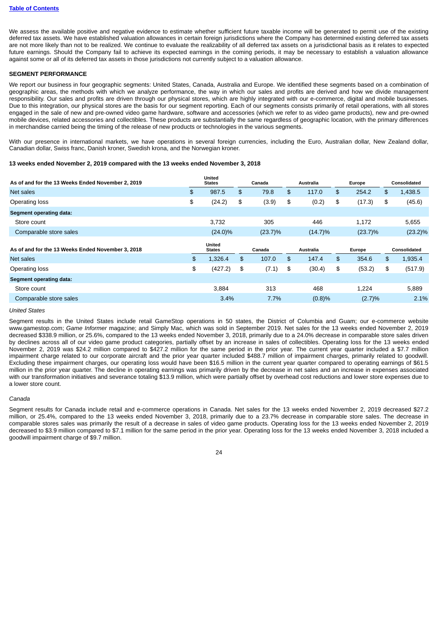We assess the available positive and negative evidence to estimate whether sufficient future taxable income will be generated to permit use of the existing deferred tax assets. We have established valuation allowances in certain foreign jurisdictions where the Company has determined existing deferred tax assets are not more likely than not to be realized. We continue to evaluate the realizability of all deferred tax assets on a jurisdictional basis as it relates to expected future earnings. Should the Company fail to achieve its expected earnings in the coming periods, it may be necessary to establish a valuation allowance against some or all of its deferred tax assets in those jurisdictions not currently subject to a valuation allowance.

#### **SEGMENT PERFORMANCE**

We report our business in four geographic segments: United States, Canada, Australia and Europe. We identified these segments based on a combination of geographic areas, the methods with which we analyze performance, the way in which our sales and profits are derived and how we divide management responsibility. Our sales and profits are driven through our physical stores, which are highly integrated with our e-commerce, digital and mobile businesses. Due to this integration, our physical stores are the basis for our segment reporting. Each of our segments consists primarily of retail operations, with all stores engaged in the sale of new and pre-owned video game hardware, software and accessories (which we refer to as video game products), new and pre-owned mobile devices, related accessories and collectibles. These products are substantially the same regardless of geographic location, with the primary differences in merchandise carried being the timing of the release of new products or technologies in the various segments.

With our presence in international markets, we have operations in several foreign currencies, including the Euro, Australian dollar, New Zealand dollar, Canadian dollar, Swiss franc, Danish kroner, Swedish krona, and the Norwegian kroner.

#### **13 weeks ended November 2, 2019 compared with the 13 weeks ended November 3, 2018**

| As of and for the 13 Weeks Ended November 2, 2019 | <b>United</b><br><b>States</b> |                         | Canada      |    | Australia        |    | Europe     |    | Consolidated        |  |
|---------------------------------------------------|--------------------------------|-------------------------|-------------|----|------------------|----|------------|----|---------------------|--|
| Net sales                                         | \$                             | 987.5                   | \$<br>79.8  | \$ | 117.0            | \$ | 254.2      | \$ | 1,438.5             |  |
| Operating loss                                    | \$                             | (24.2)                  | \$<br>(3.9) | \$ | (0.2)            | \$ | (17.3)     | \$ | (45.6)              |  |
| Segment operating data:                           |                                |                         |             |    |                  |    |            |    |                     |  |
| Store count                                       |                                | 3.732                   | 305         |    | 446              |    | 1.172      |    | 5,655               |  |
| Comparable store sales                            |                                | $(24.0)\%$              | $(23.7)\%$  |    | $(14.7)\%$       |    | $(23.7)\%$ |    | $(23.2)\%$          |  |
| As of and for the 13 Weeks Ended November 3, 2018 |                                | United<br><b>States</b> | Canada      |    | <b>Australia</b> |    | Europe     |    | <b>Consolidated</b> |  |
| Net sales                                         | \$                             | 1.326.4                 | \$<br>107.0 | \$ | 147.4            | \$ | 354.6      | \$ | 1,935.4             |  |
| Operating loss                                    | \$                             | (427.2)                 | \$<br>(7.1) | \$ | (30.4)           | \$ | (53.2)     | \$ | (517.9)             |  |
| Segment operating data:                           |                                |                         |             |    |                  |    |            |    |                     |  |
| Store count                                       |                                | 3.884                   | 313         |    | 468              |    | 1.224      |    | 5,889               |  |
|                                                   |                                |                         |             |    |                  |    |            |    |                     |  |

#### *United States*

Segment results in the United States include retail GameStop operations in 50 states, the District of Columbia and Guam; our e-commerce website www.gamestop.com; *Game Informer* magazine; and Simply Mac, which was sold in September 2019. Net sales for the 13 weeks ended November 2, 2019 decreased \$338.9 million, or 25.6%, compared to the 13 weeks ended November 3, 2018, primarily due to a 24.0% decrease in comparable store sales driven by declines across all of our video game product categories, partially offset by an increase in sales of collectibles. Operating loss for the 13 weeks ended November 2, 2019 was \$24.2 million compared to \$427.2 million for the same period in the prior year. The current year quarter included a \$7.7 million impairment charge related to our corporate aircraft and the prior year quarter included \$488.7 million of impairment charges, primarily related to goodwill. Excluding these impairment charges, our operating loss would have been \$16.5 million in the current year quarter compared to operating earnings of \$61.5 million in the prior year quarter. The decline in operating earnings was primarily driven by the decrease in net sales and an increase in expenses associated with our transformation initiatives and severance totaling \$13.9 million, which were partially offset by overhead cost reductions and lower store expenses due to a lower store count.

#### *Canada*

Segment results for Canada include retail and e-commerce operations in Canada. Net sales for the 13 weeks ended November 2, 2019 decreased \$27.2 million, or 25.4%, compared to the 13 weeks ended November 3, 2018, primarily due to a 23.7% decrease in comparable store sales. The decrease in comparable stores sales was primarily the result of a decrease in sales of video game products. Operating loss for the 13 weeks ended November 2, 2019 decreased to \$3.9 million compared to \$7.1 million for the same period in the prior year. Operating loss for the 13 weeks ended November 3, 2018 included a goodwill impairment charge of \$9.7 million.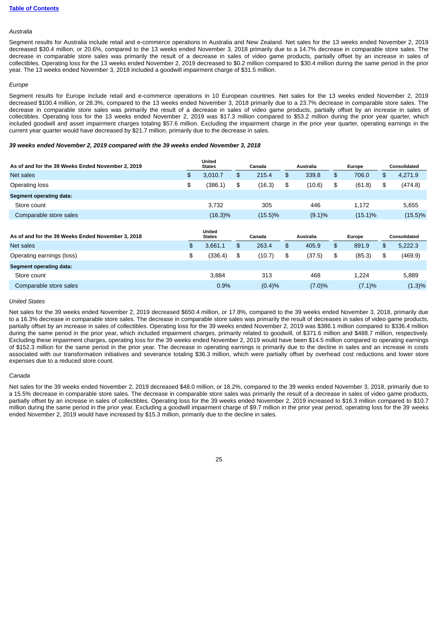#### *Australia*

Segment results for Australia include retail and e-commerce operations in Australia and New Zealand. Net sales for the 13 weeks ended November 2, 2019 decreased \$30.4 million, or 20.6%, compared to the 13 weeks ended November 3, 2018 primarily due to a 14.7% decrease in comparable store sales. The decrease in comparable store sales was primarily the result of a decrease in sales of video game products, partially offset by an increase in sales of collectibles. Operating loss for the 13 weeks ended November 2, 2019 decreased to \$0.2 million compared to \$30.4 million during the same period in the prior year. The 13 weeks ended November 3, 2018 included a goodwill impairment charge of \$31.5 million.

#### *Europe*

Segment results for Europe include retail and e-commerce operations in 10 European countries. Net sales for the 13 weeks ended November 2, 2019 decreased \$100.4 million, or 28.3%, compared to the 13 weeks ended November 3, 2018 primarily due to a 23.7% decrease in comparable store sales. The decrease in comparable store sales was primarily the result of a decrease in sales of video game products, partially offset by an increase in sales of collectibles. Operating loss for the 13 weeks ended November 2, 2019 was \$17.3 million compared to \$53.2 million during the prior year quarter, which included goodwill and asset impairment charges totaling \$57.6 million. Excluding the impairment charge in the prior year quarter, operating earnings in the current year quarter would have decreased by \$21.7 million, primarily due to the decrease in sales.

#### *39 weeks ended November 2, 2019 compared with the 39 weeks ended November 3, 2018*

|                                                   | <b>United</b>                  |              |                  |                |            |                     |
|---------------------------------------------------|--------------------------------|--------------|------------------|----------------|------------|---------------------|
| As of and for the 39 Weeks Ended November 2, 2019 | <b>States</b>                  | Canada       | <b>Australia</b> |                | Europe     | <b>Consolidated</b> |
| Net sales                                         | \$<br>3,010.7                  | \$<br>215.4  | \$<br>339.8      | $\frac{1}{2}$  | 706.0      | \$<br>4,271.9       |
| <b>Operating loss</b>                             | \$<br>(386.1)                  | \$<br>(16.3) | \$<br>(10.6)     | \$             | (61.8)     | \$<br>(474.8)       |
| Segment operating data:                           |                                |              |                  |                |            |                     |
| Store count                                       | 3.732                          | 305          | 446              |                | 1,172      | 5,655               |
| Comparable store sales                            | $(16.3)\%$                     | $(15.5)\%$   | (9.1)%           |                | $(15.1)\%$ | $(15.5)\%$          |
|                                                   |                                |              |                  |                |            |                     |
| As of and for the 39 Weeks Ended November 3, 2018 | <b>United</b><br><b>States</b> | Canada       | <b>Australia</b> |                | Europe     | <b>Consolidated</b> |
| Net sales                                         | \$<br>3,661.1                  | \$<br>263.4  | \$<br>405.9      | $\mathfrak{p}$ | 891.9      | \$<br>5,222.3       |
| Operating earnings (loss)                         | \$<br>(336.4)                  | \$<br>(10.7) | \$<br>(37.5)     | \$             | (85.3)     | \$<br>(469.9)       |
| Segment operating data:                           |                                |              |                  |                |            |                     |
| Store count                                       | 3,884                          | 313          | 468              |                | 1,224      | 5,889               |
| Comparable store sales                            | 0.9%                           | (0.4)%       | (7.0)%           |                | $(7.1)\%$  | (1.3)%              |

#### *United States*

Net sales for the 39 weeks ended November 2, 2019 decreased \$650.4 million, or 17.8%, compared to the 39 weeks ended November 3, 2018, primarily due to a 16.3% decrease in comparable store sales. The decrease in comparable store sales was primarily the result of decreases in sales of video game products, partially offset by an increase in sales of collectibles. Operating loss for the 39 weeks ended November 2, 2019 was \$386.1 million compared to \$336.4 million during the same period in the prior year, which included impairment charges, primarily related to goodwill, of \$371.6 million and \$488.7 million, respectively. Excluding these impairment charges, operating loss for the 39 weeks ended November 2, 2019 would have been \$14.5 million compared to operating earnings of \$152.3 million for the same period in the prior year. The decrease in operating earnings is primarily due to the decline in sales and an increase in costs associated with our transformation initiatives and severance totaling \$36.3 million, which were partially offset by overhead cost reductions and lower store expenses due to a reduced store count.

#### *Canada*

Net sales for the 39 weeks ended November 2, 2019 decreased \$48.0 million, or 18.2%, compared to the 39 weeks ended November 3, 2018, primarily due to a 15.5% decrease in comparable store sales. The decrease in comparable store sales was primarily the result of a decrease in sales of video game products, partially offset by an increase in sales of collectibles. Operating loss for the 39 weeks ended November 2, 2019 increased to \$16.3 million compared to \$10.7 million during the same period in the prior year. Excluding a goodwill impairment charge of \$9.7 million in the prior year period, operating loss for the 39 weeks ended November 2, 2019 would have increased by \$15.3 million, primarily due to the decline in sales.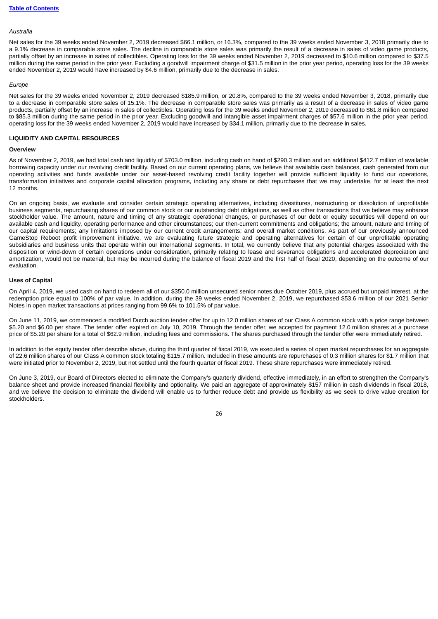#### *Australia*

Net sales for the 39 weeks ended November 2, 2019 decreased \$66.1 million, or 16.3%, compared to the 39 weeks ended November 3, 2018 primarily due to a 9.1% decrease in comparable store sales. The decline in comparable store sales was primarily the result of a decrease in sales of video game products, partially offset by an increase in sales of collectibles. Operating loss for the 39 weeks ended November 2, 2019 decreased to \$10.6 million compared to \$37.5 million during the same period in the prior year. Excluding a goodwill impairment charge of \$31.5 million in the prior year period, operating loss for the 39 weeks ended November 2, 2019 would have increased by \$4.6 million, primarily due to the decrease in sales.

#### *Europe*

Net sales for the 39 weeks ended November 2, 2019 decreased \$185.9 million, or 20.8%, compared to the 39 weeks ended November 3, 2018, primarily due to a decrease in comparable store sales of 15.1%. The decrease in comparable store sales was primarily as a result of a decrease in sales of video game products, partially offset by an increase in sales of collectibles. Operating loss for the 39 weeks ended November 2, 2019 decreased to \$61.8 million compared to \$85.3 million during the same period in the prior year. Excluding goodwill and intangible asset impairment charges of \$57.6 million in the prior year period, operating loss for the 39 weeks ended November 2, 2019 would have increased by \$34.1 million, primarily due to the decrease in sales.

#### **LIQUIDITY AND CAPITAL RESOURCES**

#### **Overview**

As of November 2, 2019, we had total cash and liquidity of \$703.0 million, including cash on hand of \$290.3 million and an additional \$412.7 million of available borrowing capacity under our revolving credit facility. Based on our current operating plans, we believe that available cash balances, cash generated from our operating activities and funds available under our asset-based revolving credit facility together will provide sufficient liquidity to fund our operations, transformation initiatives and corporate capital allocation programs, including any share or debt repurchases that we may undertake, for at least the next 12 months.

On an ongoing basis, we evaluate and consider certain strategic operating alternatives, including divestitures, restructuring or dissolution of unprofitable business segments, repurchasing shares of our common stock or our outstanding debt obligations, as well as other transactions that we believe may enhance stockholder value. The amount, nature and timing of any strategic operational changes, or purchases of our debt or equity securities will depend on our available cash and liquidity, operating performance and other circumstances; our then-current commitments and obligations; the amount, nature and timing of our capital requirements; any limitations imposed by our current credit arrangements; and overall market conditions. As part of our previously announced GameStop Reboot profit improvement initiative, we are evaluating future strategic and operating alternatives for certain of our unprofitable operating subsidiaries and business units that operate within our international segments. In total, we currently believe that any potential charges associated with the disposition or wind-down of certain operations under consideration, primarily relating to lease and severance obligations and accelerated depreciation and amortization, would not be material, but may be incurred during the balance of fiscal 2019 and the first half of fiscal 2020, depending on the outcome of our evaluation.

#### **Uses of Capital**

On April 4, 2019, we used cash on hand to redeem all of our \$350.0 million unsecured senior notes due October 2019, plus accrued but unpaid interest, at the redemption price equal to 100% of par value. In addition, during the 39 weeks ended November 2, 2019, we repurchased \$53.6 million of our 2021 Senior Notes in open market transactions at prices ranging from 99.6% to 101.5% of par value.

On June 11, 2019, we commenced a modified Dutch auction tender offer for up to 12.0 million shares of our Class A common stock with a price range between \$5.20 and \$6.00 per share. The tender offer expired on July 10, 2019. Through the tender offer, we accepted for payment 12.0 million shares at a purchase price of \$5.20 per share for a total of \$62.9 million, including fees and commissions. The shares purchased through the tender offer were immediately retired.

In addition to the equity tender offer describe above, during the third quarter of fiscal 2019, we executed a series of open market repurchases for an aggregate of 22.6 million shares of our Class A common stock totaling \$115.7 million. Included in these amounts are repurchases of 0.3 million shares for \$1.7 million that were initiated prior to November 2, 2019, but not settled until the fourth quarter of fiscal 2019. These share repurchases were immediately retired.

On June 3, 2019, our Board of Directors elected to eliminate the Company's quarterly dividend, effective immediately, in an effort to strengthen the Company's balance sheet and provide increased financial flexibility and optionality. We paid an aggregate of approximately \$157 million in cash dividends in fiscal 2018, and we believe the decision to eliminate the dividend will enable us to further reduce debt and provide us flexibility as we seek to drive value creation for stockholders.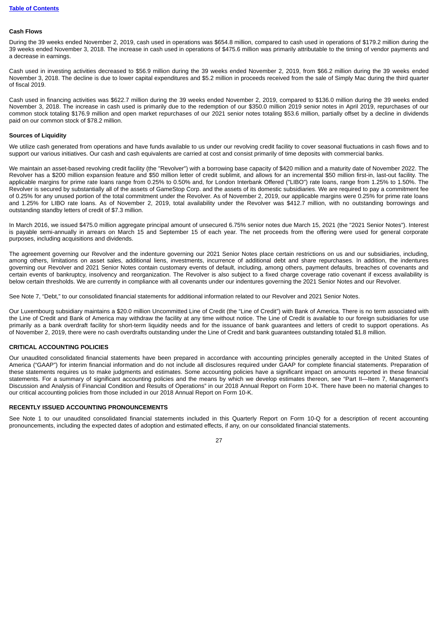#### **Cash Flows**

During the 39 weeks ended November 2, 2019, cash used in operations was \$654.8 million, compared to cash used in operations of \$179.2 million during the 39 weeks ended November 3, 2018. The increase in cash used in operations of \$475.6 million was primarily attributable to the timing of vendor payments and a decrease in earnings.

Cash used in investing activities decreased to \$56.9 million during the 39 weeks ended November 2, 2019, from \$66.2 million during the 39 weeks ended November 3, 2018. The decline is due to lower capital expenditures and \$5.2 million in proceeds received from the sale of Simply Mac during the third quarter of fiscal 2019.

Cash used in financing activities was \$622.7 million during the 39 weeks ended November 2, 2019, compared to \$136.0 million during the 39 weeks ended November 3, 2018. The increase in cash used is primarily due to the redemption of our \$350.0 million 2019 senior notes in April 2019, repurchases of our common stock totaling \$176.9 million and open market repurchases of our 2021 senior notes totaling \$53.6 million, partially offset by a decline in dividends paid on our common stock of \$78.2 million.

#### **Sources of Liquidity**

We utilize cash generated from operations and have funds available to us under our revolving credit facility to cover seasonal fluctuations in cash flows and to support our various initiatives. Our cash and cash equivalents are carried at cost and consist primarily of time deposits with commercial banks.

We maintain an asset-based revolving credit facility (the "Revolver") with a borrowing base capacity of \$420 million and a maturity date of November 2022. The Revolver has a \$200 million expansion feature and \$50 million letter of credit sublimit, and allows for an incremental \$50 million first-in, last-out facility. The applicable margins for prime rate loans range from 0.25% to 0.50% and, for London Interbank Offered ("LIBO") rate loans, range from 1.25% to 1.50%. The Revolver is secured by substantially all of the assets of GameStop Corp. and the assets of its domestic subsidiaries. We are required to pay a commitment fee of 0.25% for any unused portion of the total commitment under the Revolver. As of November 2, 2019, our applicable margins were 0.25% for prime rate loans and 1.25% for LIBO rate loans. As of November 2, 2019, total availability under the Revolver was \$412.7 million, with no outstanding borrowings and outstanding standby letters of credit of \$7.3 million.

In March 2016, we issued \$475.0 million aggregate principal amount of unsecured 6.75% senior notes due March 15, 2021 (the "2021 Senior Notes"). Interest is payable semi-annually in arrears on March 15 and September 15 of each year. The net proceeds from the offering were used for general corporate purposes, including acquisitions and dividends.

The agreement governing our Revolver and the indenture governing our 2021 Senior Notes place certain restrictions on us and our subsidiaries, including, among others, limitations on asset sales, additional liens, investments, incurrence of additional debt and share repurchases. In addition, the indentures governing our Revolver and 2021 Senior Notes contain customary events of default, including, among others, payment defaults, breaches of covenants and certain events of bankruptcy, insolvency and reorganization. The Revolver is also subject to a fixed charge coverage ratio covenant if excess availability is below certain thresholds. We are currently in compliance with all covenants under our indentures governing the 2021 Senior Notes and our Revolver.

See Note 7, "Debt," to our consolidated financial statements for additional information related to our Revolver and 2021 Senior Notes.

Our Luxembourg subsidiary maintains a \$20.0 million Uncommitted Line of Credit (the "Line of Credit") with Bank of America. There is no term associated with the Line of Credit and Bank of America may withdraw the facility at any time without notice. The Line of Credit is available to our foreign subsidiaries for use primarily as a bank overdraft facility for short-term liquidity needs and for the issuance of bank guarantees and letters of credit to support operations. As of November 2, 2019, there were no cash overdrafts outstanding under the Line of Credit and bank guarantees outstanding totaled \$1.8 million.

#### **CRITICAL ACCOUNTING POLICIES**

Our unaudited consolidated financial statements have been prepared in accordance with accounting principles generally accepted in the United States of America ("GAAP") for interim financial information and do not include all disclosures required under GAAP for complete financial statements. Preparation of these statements requires us to make judgments and estimates. Some accounting policies have a significant impact on amounts reported in these financial statements. For a summary of significant accounting policies and the means by which we develop estimates thereon, see "Part II—Item 7, Management's Discussion and Analysis of Financial Condition and Results of Operations" in our 2018 Annual Report on Form 10-K. There have been no material changes to our critical accounting policies from those included in our 2018 Annual Report on Form 10-K.

#### **RECENTLY ISSUED ACCOUNTING PRONOUNCEMENTS**

See Note 1 to our unaudited consolidated financial statements included in this Quarterly Report on Form 10-Q for a description of recent accounting pronouncements, including the expected dates of adoption and estimated effects, if any, on our consolidated financial statements.

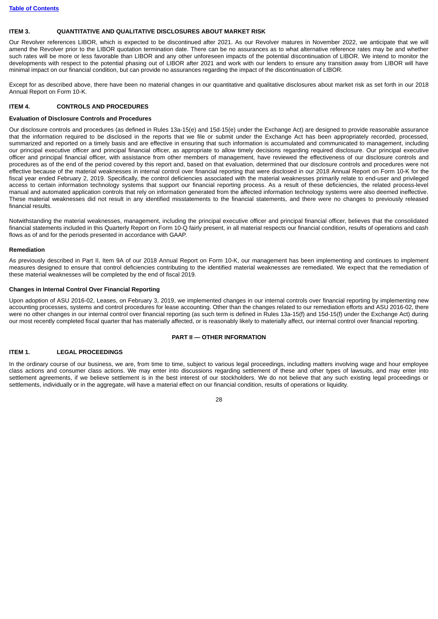## <span id="page-29-0"></span>**ITEM 3. QUANTITATIVE AND QUALITATIVE DISCLOSURES ABOUT MARKET RISK**

Our Revolver references LIBOR, which is expected to be discontinued after 2021. As our Revolver matures in November 2022, we anticipate that we will amend the Revolver prior to the LIBOR quotation termination date. There can be no assurances as to what alternative reference rates may be and whether such rates will be more or less favorable than LIBOR and any other unforeseen impacts of the potential discontinuation of LIBOR. We intend to monitor the developments with respect to the potential phasing out of LIBOR after 2021 and work with our lenders to ensure any transition away from LIBOR will have minimal impact on our financial condition, but can provide no assurances regarding the impact of the discontinuation of LIBOR.

Except for as described above, there have been no material changes in our quantitative and qualitative disclosures about market risk as set forth in our 2018 Annual Report on Form 10-K.

## <span id="page-29-1"></span>**ITEM 4. CONTROLS AND PROCEDURES**

## **Evaluation of Disclosure Controls and Procedures**

Our disclosure controls and procedures (as defined in Rules 13a-15(e) and 15d-15(e) under the Exchange Act) are designed to provide reasonable assurance that the information required to be disclosed in the reports that we file or submit under the Exchange Act has been appropriately recorded, processed, summarized and reported on a timely basis and are effective in ensuring that such information is accumulated and communicated to management, including our principal executive officer and principal financial officer, as appropriate to allow timely decisions regarding required disclosure. Our principal executive officer and principal financial officer, with assistance from other members of management, have reviewed the effectiveness of our disclosure controls and procedures as of the end of the period covered by this report and, based on that evaluation, determined that our disclosure controls and procedures were not effective because of the material weaknesses in internal control over financial reporting that were disclosed in our 2018 Annual Report on Form 10-K for the fiscal year ended February 2, 2019. Specifically, the control deficiencies associated with the material weaknesses primarily relate to end-user and privileged access to certain information technology systems that support our financial reporting process. As a result of these deficiencies, the related process-level manual and automated application controls that rely on information generated from the affected information technology systems were also deemed ineffective. These material weaknesses did not result in any identified misstatements to the financial statements, and there were no changes to previously released financial results.

Notwithstanding the material weaknesses, management, including the principal executive officer and principal financial officer, believes that the consolidated financial statements included in this Quarterly Report on Form 10-Q fairly present, in all material respects our financial condition, results of operations and cash flows as of and for the periods presented in accordance with GAAP.

#### **Remediation**

As previously described in Part II, Item 9A of our 2018 Annual Report on Form 10-K, our management has been implementing and continues to implement measures designed to ensure that control deficiencies contributing to the identified material weaknesses are remediated. We expect that the remediation of these material weaknesses will be completed by the end of fiscal 2019.

#### **Changes in Internal Control Over Financial Reporting**

Upon adoption of ASU 2016-02, Leases, on February 3, 2019, we implemented changes in our internal controls over financial reporting by implementing new accounting processes, systems and control procedures for lease accounting. Other than the changes related to our remediation efforts and ASU 2016-02, there were no other changes in our internal control over financial reporting (as such term is defined in Rules 13a-15(f) and 15d-15(f) under the Exchange Act) during our most recently completed fiscal quarter that has materially affected, or is reasonably likely to materially affect, our internal control over financial reporting.

#### **PART II — OTHER INFORMATION**

### <span id="page-29-3"></span><span id="page-29-2"></span>**ITEM 1. LEGAL PROCEEDINGS**

In the ordinary course of our business, we are, from time to time, subject to various legal proceedings, including matters involving wage and hour employee class actions and consumer class actions. We may enter into discussions regarding settlement of these and other types of lawsuits, and may enter into settlement agreements, if we believe settlement is in the best interest of our stockholders. We do not believe that any such existing legal proceedings or settlements, individually or in the aggregate, will have a material effect on our financial condition, results of operations or liquidity.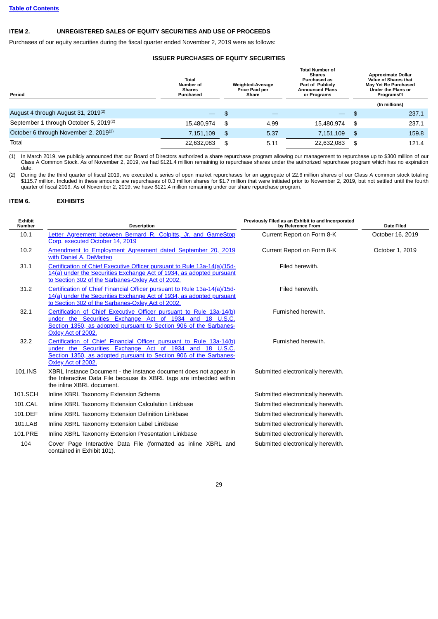### <span id="page-30-0"></span>**ITEM 2. UNREGISTERED SALES OF EQUITY SECURITIES AND USE OF PROCEEDS**

Purchases of our equity securities during the fiscal quarter ended November 2, 2019 were as follows:

#### **ISSUER PURCHASES OF EQUITY SECURITIES**

| Period                                             | Total<br>Number of<br><b>Shares</b><br><b>Purchased</b> | <b>Weighted-Average</b><br><b>Price Paid per</b><br>Share |      |                          |           | <b>Approximate Dollar</b><br>Value of Shares that<br>May Yet Be Purchased<br><b>Under the Plans or</b><br>Programs <sup>(1)</sup> |
|----------------------------------------------------|---------------------------------------------------------|-----------------------------------------------------------|------|--------------------------|-----------|-----------------------------------------------------------------------------------------------------------------------------------|
|                                                    |                                                         |                                                           |      |                          |           | (In millions)                                                                                                                     |
| August 4 through August 31, 2019 <sup>(2)</sup>    | $\overline{\phantom{0}}$                                | \$                                                        |      | $\overline{\phantom{0}}$ | <b>\$</b> | 237.1                                                                                                                             |
| September 1 through October 5, 2019 <sup>(2)</sup> | 15.480.974                                              | \$                                                        | 4.99 | 15.480.974               | \$        | 237.1                                                                                                                             |
| October 6 through November 2, 2019 <sup>(2)</sup>  | 7.151.109                                               | \$                                                        | 5.37 | 7.151.109                | -\$       | 159.8                                                                                                                             |
| Total                                              | 22.632.083                                              | \$                                                        | 5.11 | 22.632.083               | \$        | 121.4                                                                                                                             |

(1) In March 2019, we publicly announced that our Board of Directors authorized a share repurchase program allowing our management to repurchase up to \$300 million of our Class A Common Stock. As of November 2, 2019, we had \$121.4 million remaining to repurchase shares under the authorized repurchase program which has no expiration date.

(2) During the the third quarter of fiscal 2019, we executed a series of open market repurchases for an aggregate of 22.6 million shares of our Class A common stock totaling \$115.7 million. Included in these amounts are repurchases of 0.3 million shares for \$1.7 million that were initiated prior to November 2, 2019, but not settled until the fourth quarter of fiscal 2019. As of November 2, 2019, we have \$121.4 million remaining under our share repurchase program.

#### <span id="page-30-1"></span>**ITEM 6. EXHIBITS**

 $\mathcal{L}_\text{max}$  and the contract of the contract of the contract of the contract of the contract of the contract of the contract of the contract of the contract of the contract of the contract of the contract of the contrac

| <b>Exhibit</b><br><b>Number</b> | <b>Description</b>                                                                                                                                                                                                        | Previously Filed as an Exhibit to and Incorporated<br>by Reference From | <b>Date Filed</b> |
|---------------------------------|---------------------------------------------------------------------------------------------------------------------------------------------------------------------------------------------------------------------------|-------------------------------------------------------------------------|-------------------|
| 10.1                            | Letter Agreement between Bernard R. Colpitts, Jr. and GameStop<br>Corp. executed October 14, 2019                                                                                                                         | Current Report on Form 8-K                                              | October 16, 2019  |
| 10.2                            | Amendment to Employment Agreement dated September 20, 2019<br>with Daniel A. DeMatteo                                                                                                                                     | Current Report on Form 8-K                                              | October 1, 2019   |
| 31.1                            | Certification of Chief Executive Officer pursuant to Rule 13a-14(a)/15d-<br>14(a) under the Securities Exchange Act of 1934, as adopted pursuant<br>to Section 302 of the Sarbanes-Oxley Act of 2002.                     | Filed herewith.                                                         |                   |
| 31.2                            | Certification of Chief Financial Officer pursuant to Rule 13a-14(a)/15d-<br>14(a) under the Securities Exchange Act of 1934, as adopted pursuant<br>to Section 302 of the Sarbanes-Oxley Act of 2002.                     | Filed herewith.                                                         |                   |
| 32.1                            | Certification of Chief Executive Officer pursuant to Rule 13a-14(b)<br>under the Securities Exchange Act of 1934 and 18 U.S.C.<br>Section 1350, as adopted pursuant to Section 906 of the Sarbanes-<br>Oxley Act of 2002. | Furnished herewith.                                                     |                   |
| 32.2                            | Certification of Chief Financial Officer pursuant to Rule 13a-14(b)<br>under the Securities Exchange Act of 1934 and 18 U.S.C.<br>Section 1350, as adopted pursuant to Section 906 of the Sarbanes-<br>Oxley Act of 2002. | Furnished herewith.                                                     |                   |
| 101.INS                         | XBRL Instance Document - the instance document does not appear in<br>the Interactive Data File because its XBRL tags are imbedded within<br>the inline XBRL document.                                                     | Submitted electronically herewith.                                      |                   |
| 101.SCH                         | Inline XBRL Taxonomy Extension Schema                                                                                                                                                                                     | Submitted electronically herewith.                                      |                   |
| 101.CAL                         | Inline XBRL Taxonomy Extension Calculation Linkbase                                                                                                                                                                       | Submitted electronically herewith.                                      |                   |
| 101.DEF                         | Inline XBRL Taxonomy Extension Definition Linkbase                                                                                                                                                                        | Submitted electronically herewith.                                      |                   |
| 101.LAB                         | Inline XBRL Taxonomy Extension Label Linkbase                                                                                                                                                                             | Submitted electronically herewith.                                      |                   |
| 101.PRE                         | Inline XBRL Taxonomy Extension Presentation Linkbase                                                                                                                                                                      | Submitted electronically herewith.                                      |                   |
| 104                             | Cover Page Interactive Data File (formatted as inline XBRL and<br>contained in Exhibit 101).                                                                                                                              | Submitted electronically herewith.                                      |                   |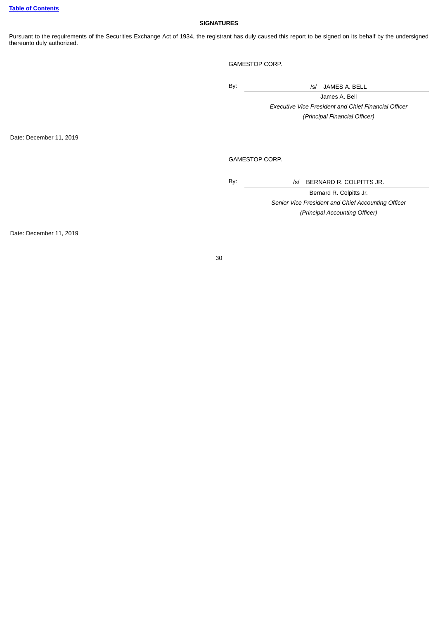#### **SIGNATURES**

<span id="page-31-0"></span>Pursuant to the requirements of the Securities Exchange Act of 1934, the registrant has duly caused this report to be signed on its behalf by the undersigned thereunto duly authorized.

GAMESTOP CORP.

By:  $\frac{1}{s}$  JAMES A. BELL

James A. Bell *Executive Vice President and Chief Financial Officer (Principal Financial Officer)*

Date: December 11, 2019

GAMESTOP CORP.

By: /s/ BERNARD R. COLPITTS JR.

Bernard R. Colpitts Jr. *Senior Vice President and Chief Accounting Officer (Principal Accounting Officer)*

Date: December 11, 2019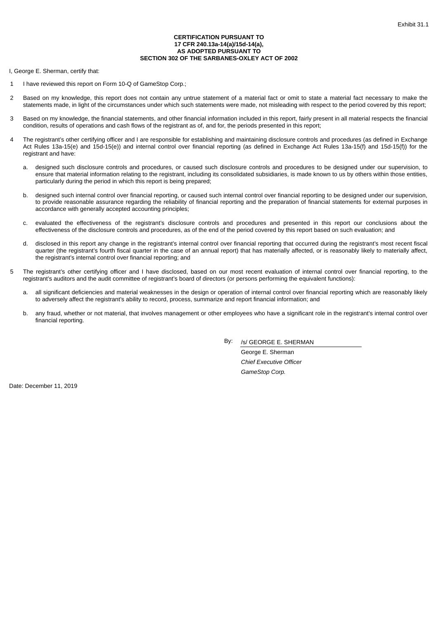#### **CERTIFICATION PURSUANT TO 17 CFR 240.13a-14(a)/15d-14(a), AS ADOPTED PURSUANT TO SECTION 302 OF THE SARBANES-OXLEY ACT OF 2002**

<span id="page-32-0"></span>I, George E. Sherman, certify that:

- 1 I have reviewed this report on Form 10-Q of GameStop Corp.;
- 2 Based on my knowledge, this report does not contain any untrue statement of a material fact or omit to state a material fact necessary to make the statements made, in light of the circumstances under which such statements were made, not misleading with respect to the period covered by this report;
- 3 Based on my knowledge, the financial statements, and other financial information included in this report, fairly present in all material respects the financial condition, results of operations and cash flows of the registrant as of, and for, the periods presented in this report;
- 4 The registrant's other certifying officer and I are responsible for establishing and maintaining disclosure controls and procedures (as defined in Exchange Act Rules 13a-15(e) and 15d-15(e)) and internal control over financial reporting (as defined in Exchange Act Rules 13a-15(f) and 15d-15(f)) for the registrant and have:
	- a. designed such disclosure controls and procedures, or caused such disclosure controls and procedures to be designed under our supervision, to ensure that material information relating to the registrant, including its consolidated subsidiaries, is made known to us by others within those entities, particularly during the period in which this report is being prepared;
	- b. designed such internal control over financial reporting, or caused such internal control over financial reporting to be designed under our supervision, to provide reasonable assurance regarding the reliability of financial reporting and the preparation of financial statements for external purposes in accordance with generally accepted accounting principles;
	- c. evaluated the effectiveness of the registrant's disclosure controls and procedures and presented in this report our conclusions about the effectiveness of the disclosure controls and procedures, as of the end of the period covered by this report based on such evaluation; and
	- d. disclosed in this report any change in the registrant's internal control over financial reporting that occurred during the registrant's most recent fiscal quarter (the registrant's fourth fiscal quarter in the case of an annual report) that has materially affected, or is reasonably likely to materially affect, the registrant's internal control over financial reporting; and
- 5 The registrant's other certifying officer and I have disclosed, based on our most recent evaluation of internal control over financial reporting, to the registrant's auditors and the audit committee of registrant's board of directors (or persons performing the equivalent functions):
	- a. all significant deficiencies and material weaknesses in the design or operation of internal control over financial reporting which are reasonably likely to adversely affect the registrant's ability to record, process, summarize and report financial information; and
	- b. any fraud, whether or not material, that involves management or other employees who have a significant role in the registrant's internal control over financial reporting.

By: /s/ GEORGE E. SHERMAN

George E. Sherman *Chief Executive Officer GameStop Corp.*

Date: December 11, 2019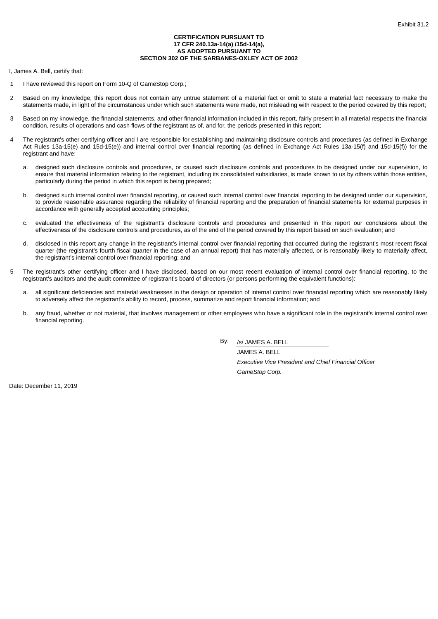#### **CERTIFICATION PURSUANT TO 17 CFR 240.13a-14(a) /15d-14(a), AS ADOPTED PURSUANT TO SECTION 302 OF THE SARBANES-OXLEY ACT OF 2002**

<span id="page-33-0"></span>I, James A. Bell, certify that:

- 1 I have reviewed this report on Form 10-Q of GameStop Corp.;
- 2 Based on my knowledge, this report does not contain any untrue statement of a material fact or omit to state a material fact necessary to make the statements made, in light of the circumstances under which such statements were made, not misleading with respect to the period covered by this report;
- 3 Based on my knowledge, the financial statements, and other financial information included in this report, fairly present in all material respects the financial condition, results of operations and cash flows of the registrant as of, and for, the periods presented in this report;
- 4 The registrant's other certifying officer and I are responsible for establishing and maintaining disclosure controls and procedures (as defined in Exchange Act Rules 13a-15(e) and 15d-15(e)) and internal control over financial reporting (as defined in Exchange Act Rules 13a-15(f) and 15d-15(f)) for the registrant and have:
	- a. designed such disclosure controls and procedures, or caused such disclosure controls and procedures to be designed under our supervision, to ensure that material information relating to the registrant, including its consolidated subsidiaries, is made known to us by others within those entities, particularly during the period in which this report is being prepared;
	- b. designed such internal control over financial reporting, or caused such internal control over financial reporting to be designed under our supervision, to provide reasonable assurance regarding the reliability of financial reporting and the preparation of financial statements for external purposes in accordance with generally accepted accounting principles;
	- c. evaluated the effectiveness of the registrant's disclosure controls and procedures and presented in this report our conclusions about the effectiveness of the disclosure controls and procedures, as of the end of the period covered by this report based on such evaluation; and
	- d. disclosed in this report any change in the registrant's internal control over financial reporting that occurred during the registrant's most recent fiscal quarter (the registrant's fourth fiscal quarter in the case of an annual report) that has materially affected, or is reasonably likely to materially affect, the registrant's internal control over financial reporting; and
- 5 The registrant's other certifying officer and I have disclosed, based on our most recent evaluation of internal control over financial reporting, to the registrant's auditors and the audit committee of registrant's board of directors (or persons performing the equivalent functions):
	- a. all significant deficiencies and material weaknesses in the design or operation of internal control over financial reporting which are reasonably likely to adversely affect the registrant's ability to record, process, summarize and report financial information; and
	- b. any fraud, whether or not material, that involves management or other employees who have a significant role in the registrant's internal control over financial reporting.

By: /s/ JAMES A. BELL

JAMES A. BELL *Executive Vice President and Chief Financial Officer GameStop Corp.*

Date: December 11, 2019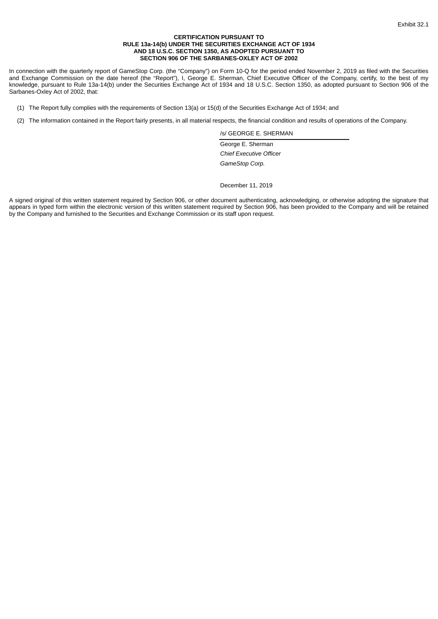#### **CERTIFICATION PURSUANT TO RULE 13a-14(b) UNDER THE SECURITIES EXCHANGE ACT OF 1934 AND 18 U.S.C. SECTION 1350, AS ADOPTED PURSUANT TO SECTION 906 OF THE SARBANES-OXLEY ACT OF 2002**

<span id="page-34-0"></span>In connection with the quarterly report of GameStop Corp. (the "Company") on Form 10-Q for the period ended November 2, 2019 as filed with the Securities and Exchange Commission on the date hereof (the "Report"), I, George E. Sherman, Chief Executive Officer of the Company, certify, to the best of my knowledge, pursuant to Rule 13a-14(b) under the Securities Exchange Act of 1934 and 18 U.S.C. Section 1350, as adopted pursuant to Section 906 of the Sarbanes-Oxley Act of 2002, that:

- (1) The Report fully complies with the requirements of Section 13(a) or 15(d) of the Securities Exchange Act of 1934; and
- (2) The information contained in the Report fairly presents, in all material respects, the financial condition and results of operations of the Company.

/s/ GEORGE E. SHERMAN

George E. Sherman *Chief Executive Officer*

*GameStop Corp.*

December 11, 2019

A signed original of this written statement required by Section 906, or other document authenticating, acknowledging, or otherwise adopting the signature that appears in typed form within the electronic version of this written statement required by Section 906, has been provided to the Company and will be retained by the Company and furnished to the Securities and Exchange Commission or its staff upon request.